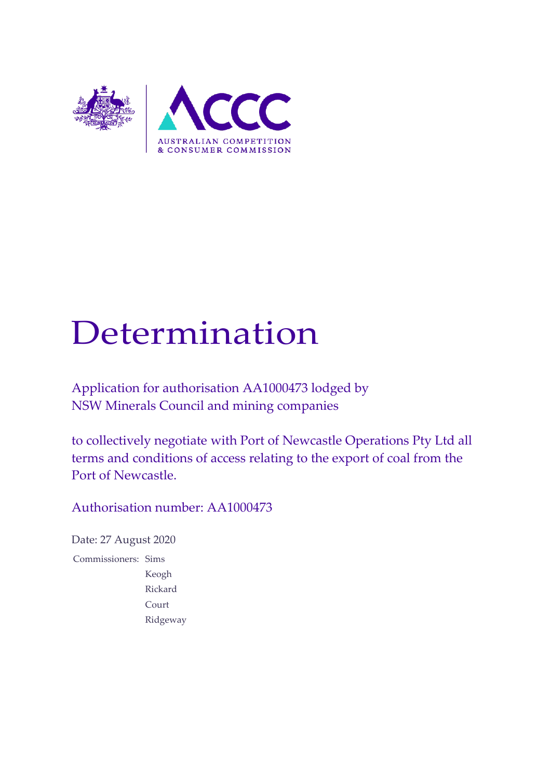

# Determination

Application for authorisation AA1000473 lodged by NSW Minerals Council and mining companies

to collectively negotiate with Port of Newcastle Operations Pty Ltd all terms and conditions of access relating to the export of coal from the Port of Newcastle.

Authorisation number: AA1000473

Date: 27 August 2020 Commissioners: Sims Keogh Rickard Court Ridgeway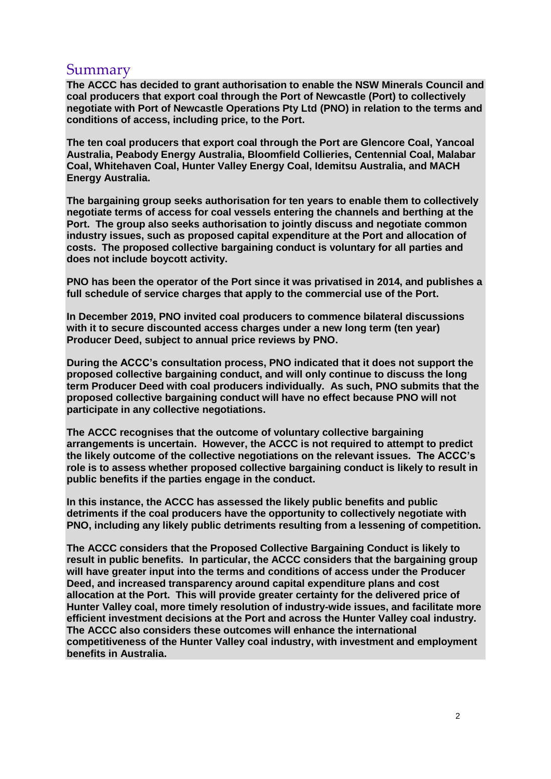## Summary

**The ACCC has decided to grant authorisation to enable the NSW Minerals Council and coal producers that export coal through the Port of Newcastle (Port) to collectively negotiate with Port of Newcastle Operations Pty Ltd (PNO) in relation to the terms and conditions of access, including price, to the Port.**

**The ten coal producers that export coal through the Port are Glencore Coal, Yancoal Australia, Peabody Energy Australia, Bloomfield Collieries, Centennial Coal, Malabar Coal, Whitehaven Coal, Hunter Valley Energy Coal, Idemitsu Australia, and MACH Energy Australia.**

**The bargaining group seeks authorisation for ten years to enable them to collectively negotiate terms of access for coal vessels entering the channels and berthing at the Port. The group also seeks authorisation to jointly discuss and negotiate common industry issues, such as proposed capital expenditure at the Port and allocation of costs. The proposed collective bargaining conduct is voluntary for all parties and does not include boycott activity.**

**PNO has been the operator of the Port since it was privatised in 2014, and publishes a full schedule of service charges that apply to the commercial use of the Port.** 

**In December 2019, PNO invited coal producers to commence bilateral discussions with it to secure discounted access charges under a new long term (ten year) Producer Deed, subject to annual price reviews by PNO.**

**During the ACCC's consultation process, PNO indicated that it does not support the proposed collective bargaining conduct, and will only continue to discuss the long term Producer Deed with coal producers individually. As such, PNO submits that the proposed collective bargaining conduct will have no effect because PNO will not participate in any collective negotiations.** 

**The ACCC recognises that the outcome of voluntary collective bargaining arrangements is uncertain. However, the ACCC is not required to attempt to predict the likely outcome of the collective negotiations on the relevant issues. The ACCC's role is to assess whether proposed collective bargaining conduct is likely to result in public benefits if the parties engage in the conduct.** 

**In this instance, the ACCC has assessed the likely public benefits and public detriments if the coal producers have the opportunity to collectively negotiate with PNO, including any likely public detriments resulting from a lessening of competition.**

**The ACCC considers that the Proposed Collective Bargaining Conduct is likely to result in public benefits. In particular, the ACCC considers that the bargaining group will have greater input into the terms and conditions of access under the Producer Deed, and increased transparency around capital expenditure plans and cost allocation at the Port. This will provide greater certainty for the delivered price of Hunter Valley coal, more timely resolution of industry-wide issues, and facilitate more efficient investment decisions at the Port and across the Hunter Valley coal industry. The ACCC also considers these outcomes will enhance the international competitiveness of the Hunter Valley coal industry, with investment and employment benefits in Australia.**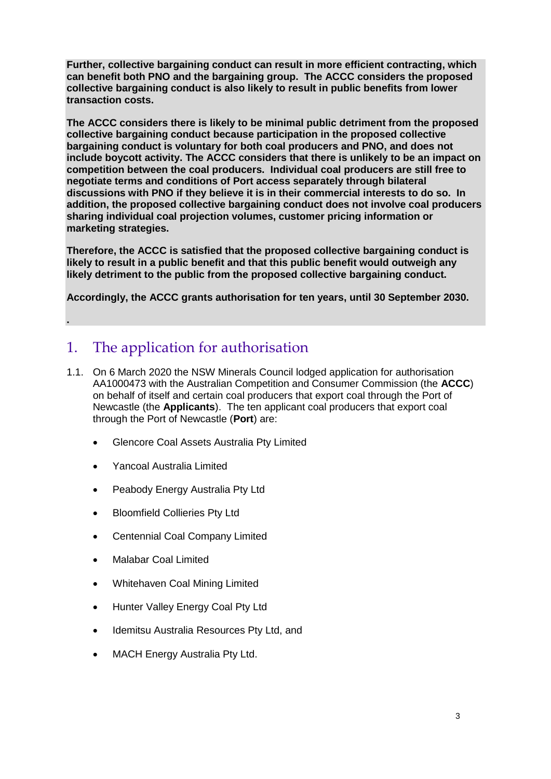**Further, collective bargaining conduct can result in more efficient contracting, which can benefit both PNO and the bargaining group. The ACCC considers the proposed collective bargaining conduct is also likely to result in public benefits from lower transaction costs.** 

**The ACCC considers there is likely to be minimal public detriment from the proposed collective bargaining conduct because participation in the proposed collective bargaining conduct is voluntary for both coal producers and PNO, and does not include boycott activity. The ACCC considers that there is unlikely to be an impact on competition between the coal producers. Individual coal producers are still free to negotiate terms and conditions of Port access separately through bilateral discussions with PNO if they believe it is in their commercial interests to do so. In addition, the proposed collective bargaining conduct does not involve coal producers sharing individual coal projection volumes, customer pricing information or marketing strategies.**

**Therefore, the ACCC is satisfied that the proposed collective bargaining conduct is likely to result in a public benefit and that this public benefit would outweigh any likely detriment to the public from the proposed collective bargaining conduct.** 

**Accordingly, the ACCC grants authorisation for ten years, until 30 September 2030.**

# 1. The application for authorisation

- 1.1. On 6 March 2020 the NSW Minerals Council lodged application for authorisation AA1000473 with the Australian Competition and Consumer Commission (the **ACCC**) on behalf of itself and certain coal producers that export coal through the Port of Newcastle (the **Applicants**). The ten applicant coal producers that export coal through the Port of Newcastle (**Port**) are:
	- **Glencore Coal Assets Australia Pty Limited**
	- Yancoal Australia Limited

**.**

- Peabody Energy Australia Pty Ltd
- Bloomfield Collieries Pty Ltd
- Centennial Coal Company Limited
- Malabar Coal Limited
- Whitehaven Coal Mining Limited
- Hunter Valley Energy Coal Pty Ltd
- Idemitsu Australia Resources Pty Ltd, and
- MACH Energy Australia Pty Ltd.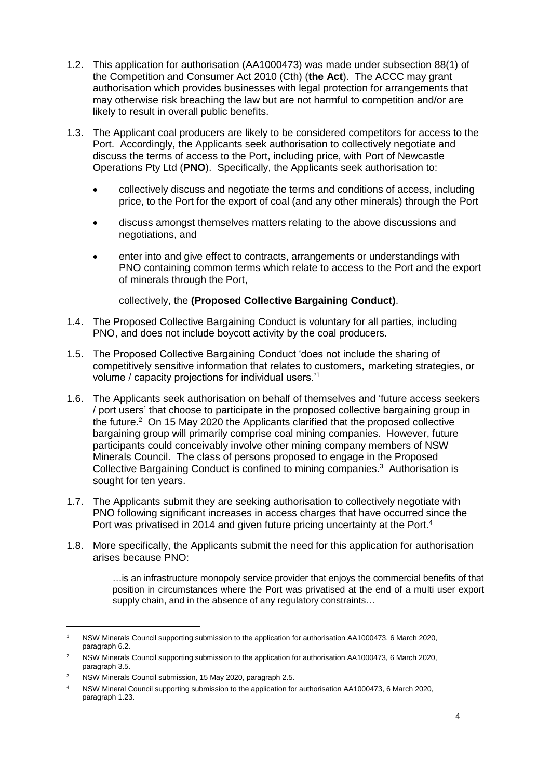- 1.2. This application for authorisation (AA1000473) was made under subsection 88(1) of the Competition and Consumer Act 2010 (Cth) (**the Act**). The ACCC may grant authorisation which provides businesses with legal protection for arrangements that may otherwise risk breaching the law but are not harmful to competition and/or are likely to result in overall public benefits.
- 1.3. The Applicant coal producers are likely to be considered competitors for access to the Port. Accordingly, the Applicants seek authorisation to collectively negotiate and discuss the terms of access to the Port, including price, with Port of Newcastle Operations Pty Ltd (**PNO**). Specifically, the Applicants seek authorisation to:
	- collectively discuss and negotiate the terms and conditions of access, including price, to the Port for the export of coal (and any other minerals) through the Port
	- discuss amongst themselves matters relating to the above discussions and negotiations, and
	- enter into and give effect to contracts, arrangements or understandings with PNO containing common terms which relate to access to the Port and the export of minerals through the Port,

collectively, the **(Proposed Collective Bargaining Conduct)**.

- 1.4. The Proposed Collective Bargaining Conduct is voluntary for all parties, including PNO, and does not include boycott activity by the coal producers.
- 1.5. The Proposed Collective Bargaining Conduct 'does not include the sharing of competitively sensitive information that relates to customers, marketing strategies, or volume / capacity projections for individual users.'<sup>1</sup>
- 1.6. The Applicants seek authorisation on behalf of themselves and 'future access seekers / port users' that choose to participate in the proposed collective bargaining group in the future. $2$  On 15 May 2020 the Applicants clarified that the proposed collective bargaining group will primarily comprise coal mining companies. However, future participants could conceivably involve other mining company members of NSW Minerals Council. The class of persons proposed to engage in the Proposed Collective Bargaining Conduct is confined to mining companies.<sup>3</sup> Authorisation is sought for ten years.
- 1.7. The Applicants submit they are seeking authorisation to collectively negotiate with PNO following significant increases in access charges that have occurred since the Port was privatised in 2014 and given future pricing uncertainty at the Port.<sup>4</sup>
- 1.8. More specifically, the Applicants submit the need for this application for authorisation arises because PNO:

…is an infrastructure monopoly service provider that enjoys the commercial benefits of that position in circumstances where the Port was privatised at the end of a multi user export supply chain, and in the absence of any regulatory constraints…

<sup>1</sup> NSW Minerals Council supporting submission to the application for authorisation AA1000473, 6 March 2020, paragraph 6.2.

<sup>&</sup>lt;sup>2</sup> NSW Minerals Council supporting submission to the application for authorisation AA1000473, 6 March 2020, paragraph 3.5.

<sup>&</sup>lt;sup>3</sup> NSW Minerals Council submission, 15 May 2020, paragraph 2.5.

<sup>4</sup> NSW Mineral Council supporting submission to the application for authorisation AA1000473, 6 March 2020, paragraph 1.23.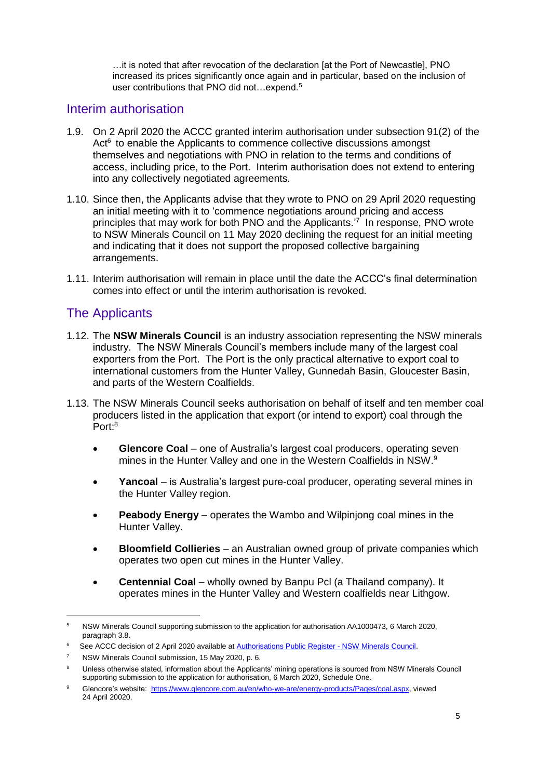…it is noted that after revocation of the declaration [at the Port of Newcastle], PNO increased its prices significantly once again and in particular, based on the inclusion of user contributions that PNO did not...expend.<sup>5</sup>

## Interim authorisation

- 1.9. On 2 April 2020 the ACCC granted interim authorisation under subsection 91(2) of the Act<sup>6</sup> to enable the Applicants to commence collective discussions amongst themselves and negotiations with PNO in relation to the terms and conditions of access, including price, to the Port. Interim authorisation does not extend to entering into any collectively negotiated agreements.
- 1.10. Since then, the Applicants advise that they wrote to PNO on 29 April 2020 requesting an initial meeting with it to 'commence negotiations around pricing and access principles that may work for both PNO and the Applicants.<sup>7</sup> In response, PNO wrote to NSW Minerals Council on 11 May 2020 declining the request for an initial meeting and indicating that it does not support the proposed collective bargaining arrangements.
- 1.11. Interim authorisation will remain in place until the date the ACCC's final determination comes into effect or until the interim authorisation is revoked.

## The Applicants

- 1.12. The **NSW Minerals Council** is an industry association representing the NSW minerals industry. The NSW Minerals Council's members include many of the largest coal exporters from the Port. The Port is the only practical alternative to export coal to international customers from the Hunter Valley, Gunnedah Basin, Gloucester Basin, and parts of the Western Coalfields.
- 1.13. The NSW Minerals Council seeks authorisation on behalf of itself and ten member coal producers listed in the application that export (or intend to export) coal through the Port:<sup>8</sup>
	- **Glencore Coal** one of Australia's largest coal producers, operating seven mines in the Hunter Valley and one in the Western Coalfields in NSW.<sup>9</sup>
	- **Yancoal** is Australia's largest pure-coal producer, operating several mines in the Hunter Valley region.
	- **Peabody Energy** operates the Wambo and Wilpinjong coal mines in the Hunter Valley.
	- **Bloomfield Collieries** an Australian owned group of private companies which operates two open cut mines in the Hunter Valley.
	- **Centennial Coal** wholly owned by Banpu Pcl (a Thailand company). It operates mines in the Hunter Valley and Western coalfields near Lithgow.

<sup>5</sup> NSW Minerals Council supporting submission to the application for authorisation AA1000473, 6 March 2020, paragraph 3.8.

<sup>&</sup>lt;sup>6</sup> See ACCC decision of 2 April 2020 available a[t Authorisations Public Register -](https://www.accc.gov.au/public-registers/authorisations-and-notifications-registers/authorisations-register/new-south-wales-minerals-council-nswmc) NSW Minerals Council.

<sup>7</sup> NSW Minerals Council submission, 15 May 2020, p. 6.

<sup>8</sup> Unless otherwise stated, information about the Applicants' mining operations is sourced from NSW Minerals Council supporting submission to the application for authorisation, 6 March 2020, Schedule One.

<sup>9</sup> Glencore's website: [https://www.glencore.com.au/en/who-we-are/energy-products/Pages/coal.aspx,](https://www.glencore.com.au/en/who-we-are/energy-products/Pages/coal.aspx) viewed 24 April 20020.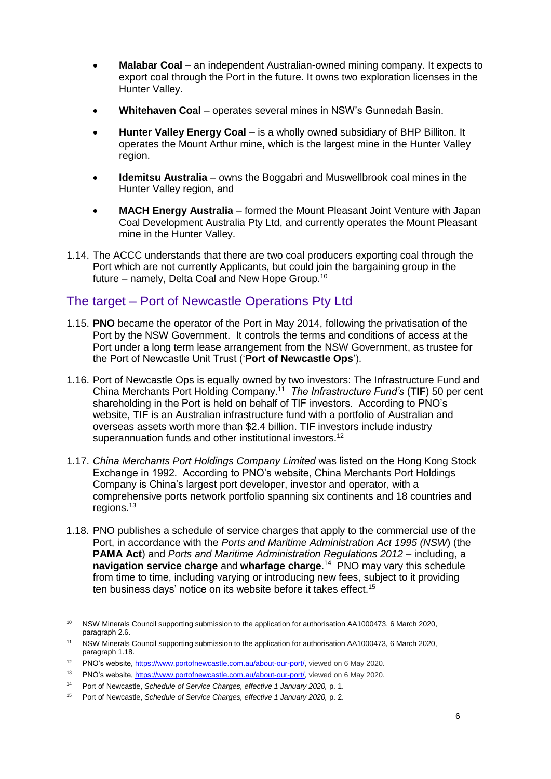- **Malabar Coal** an independent Australian-owned mining company. It expects to export coal through the Port in the future. It owns two exploration licenses in the Hunter Valley.
- **Whitehaven Coal** operates several mines in NSW's Gunnedah Basin.
- **Hunter Valley Energy Coal** is a wholly owned subsidiary of BHP Billiton. It operates the Mount Arthur mine, which is the largest mine in the Hunter Valley region.
- **Idemitsu Australia** owns the Boggabri and Muswellbrook coal mines in the Hunter Valley region, and
- **MACH Energy Australia** formed the Mount Pleasant Joint Venture with Japan Coal Development Australia Pty Ltd, and currently operates the Mount Pleasant mine in the Hunter Valley.
- 1.14. The ACCC understands that there are two coal producers exporting coal through the Port which are not currently Applicants, but could join the bargaining group in the future – namely, Delta Coal and New Hope Group.<sup>10</sup>

## The target – Port of Newcastle Operations Pty Ltd

- 1.15. **PNO** became the operator of the Port in May 2014, following the privatisation of the Port by the NSW Government. It controls the terms and conditions of access at the Port under a long term lease arrangement from the NSW Government, as trustee for the Port of Newcastle Unit Trust ('**Port of Newcastle Ops**').
- 1.16. Port of Newcastle Ops is equally owned by two investors: The Infrastructure Fund and China Merchants Port Holding Company.<sup>11</sup> *The Infrastructure Fund's* (**TIF**) 50 per cent shareholding in the Port is held on behalf of TIF investors. According to PNO's website, TIF is an Australian infrastructure fund with a portfolio of Australian and overseas assets worth more than \$2.4 billion. TIF investors include industry superannuation funds and other institutional investors.<sup>12</sup>
- 1.17. *China Merchants Port Holdings Company Limited* was listed on the Hong Kong Stock Exchange in 1992. According to PNO's website, China Merchants Port Holdings Company is China's largest port developer, investor and operator, with a comprehensive ports network portfolio spanning six continents and 18 countries and regions.<sup>13</sup>
- 1.18. PNO publishes a schedule of service charges that apply to the commercial use of the Port, in accordance with the *Ports and Maritime Administration Act 1995 (NSW*) (the **PAMA Act**) and *Ports and Maritime Administration Regulations 2012 –* including, a **navigation service charge** and **wharfage charge**. 14 PNO may vary this schedule from time to time, including varying or introducing new fees, subject to it providing ten business days' notice on its website before it takes effect. 15

<sup>10</sup> NSW Minerals Council supporting submission to the application for authorisation AA1000473, 6 March 2020, paragraph 2.6.

<sup>11</sup> NSW Minerals Council supporting submission to the application for authorisation AA1000473, 6 March 2020, paragraph 1.18.

<sup>12</sup> PNO's website, [https://www.portofnewcastle.com.au/about-our-port/,](https://www.portofnewcastle.com.au/about-our-port/) viewed on 6 May 2020.

<sup>&</sup>lt;sup>13</sup> PNO's website, [https://www.portofnewcastle.com.au/about-our-port/,](https://www.portofnewcastle.com.au/about-our-port/) viewed on 6 May 2020.

<sup>14</sup> Port of Newcastle, *Schedule of Service Charges, effective 1 January 2020,* p. 1.

<sup>15</sup> Port of Newcastle, *Schedule of Service Charges, effective 1 January 2020,* p. 2.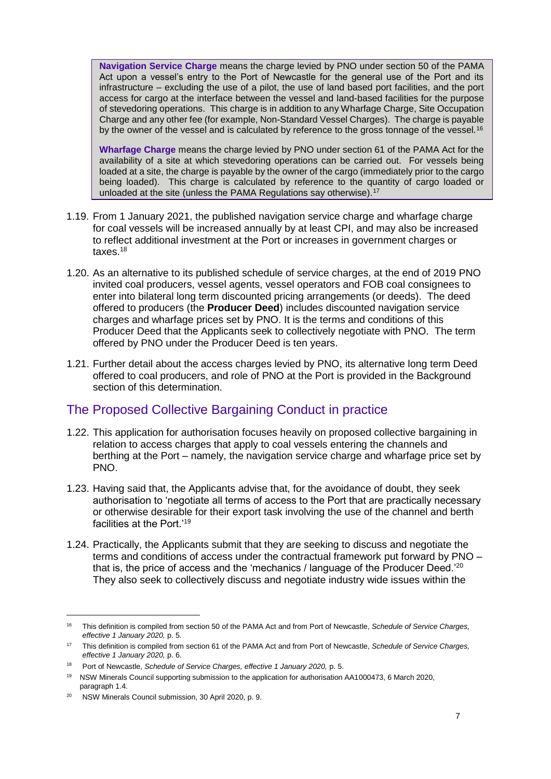**Navigation Service Charge** means the charge levied by PNO under section 50 of the PAMA Act upon a vessel's entry to the Port of Newcastle for the general use of the Port and its infrastructure – excluding the use of a pilot, the use of land based port facilities, and the port access for cargo at the interface between the vessel and land-based facilities for the purpose of stevedoring operations. This charge is in addition to any Wharfage Charge, Site Occupation Charge and any other fee (for example, Non-Standard Vessel Charges). The charge is payable by the owner of the vessel and is calculated by reference to the gross tonnage of the vessel.<sup>16</sup>

**Wharfage Charge** means the charge levied by PNO under section 61 of the PAMA Act for the availability of a site at which stevedoring operations can be carried out. For vessels being loaded at a site, the charge is payable by the owner of the cargo (immediately prior to the cargo being loaded). This charge is calculated by reference to the quantity of cargo loaded or unloaded at the site (unless the PAMA Regulations say otherwise).<sup>17</sup>

- 1.19. From 1 January 2021, the published navigation service charge and wharfage charge for coal vessels will be increased annually by at least CPI, and may also be increased to reflect additional investment at the Port or increases in government charges or taxes.<sup>18</sup>
- 1.20. As an alternative to its published schedule of service charges, at the end of 2019 PNO invited coal producers, vessel agents, vessel operators and FOB coal consignees to enter into bilateral long term discounted pricing arrangements (or deeds). The deed offered to producers (the **Producer Deed**) includes discounted navigation service charges and wharfage prices set by PNO. It is the terms and conditions of this Producer Deed that the Applicants seek to collectively negotiate with PNO. The term offered by PNO under the Producer Deed is ten years.
- 1.21. Further detail about the access charges levied by PNO, its alternative long term Deed offered to coal producers, and role of PNO at the Port is provided in the Background section of this determination.

## The Proposed Collective Bargaining Conduct in practice

- 1.22. This application for authorisation focuses heavily on proposed collective bargaining in relation to access charges that apply to coal vessels entering the channels and berthing at the Port – namely, the navigation service charge and wharfage price set by PNO.
- 1.23. Having said that, the Applicants advise that, for the avoidance of doubt, they seek authorisation to 'negotiate all terms of access to the Port that are practically necessary or otherwise desirable for their export task involving the use of the channel and berth facilities at the Port.'<sup>19</sup>
- 1.24. Practically, the Applicants submit that they are seeking to discuss and negotiate the terms and conditions of access under the contractual framework put forward by PNO – that is, the price of access and the 'mechanics / language of the Producer Deed.'<sup>20</sup> They also seek to collectively discuss and negotiate industry wide issues within the

<sup>16</sup> This definition is compiled from section 50 of the PAMA Act and from Port of Newcastle, *Schedule of Service Charges, effective 1 January 2020,* p. 5.

<sup>17</sup> This definition is compiled from section 61 of the PAMA Act and from Port of Newcastle, *Schedule of Service Charges, effective 1 January 2020,* p. 6.

<sup>&</sup>lt;sup>18</sup> Port of Newcastle, *Schedule of Service Charges, effective 1 January 2020, p. 5.* 

<sup>19</sup> NSW Minerals Council supporting submission to the application for authorisation AA1000473, 6 March 2020, paragraph 1.4.

<sup>20</sup> NSW Minerals Council submission, 30 April 2020, p. 9.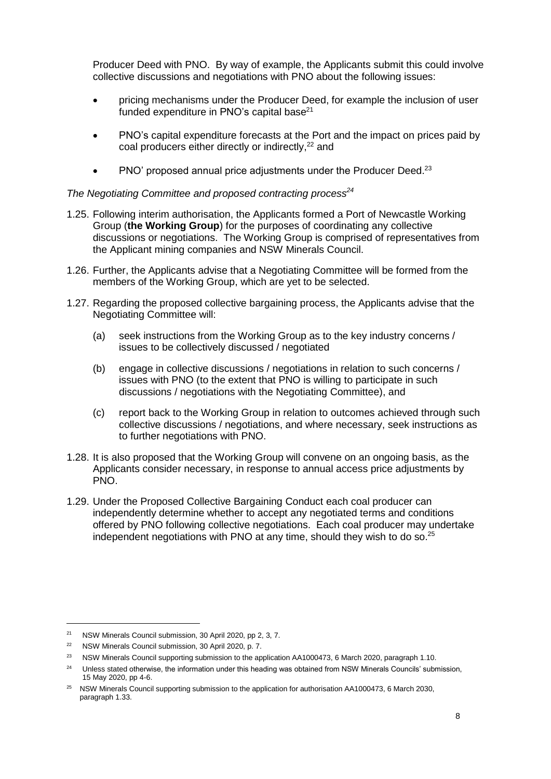Producer Deed with PNO. By way of example, the Applicants submit this could involve collective discussions and negotiations with PNO about the following issues:

- pricing mechanisms under the Producer Deed, for example the inclusion of user funded expenditure in PNO's capital base $^{21}$
- PNO's capital expenditure forecasts at the Port and the impact on prices paid by coal producers either directly or indirectly, <sup>22</sup> and
- PNO' proposed annual price adjustments under the Producer Deed.<sup>23</sup>

#### *The Negotiating Committee and proposed contracting process<sup>24</sup>*

- <span id="page-7-0"></span>1.25. Following interim authorisation, the Applicants formed a Port of Newcastle Working Group (**the Working Group**) for the purposes of coordinating any collective discussions or negotiations. The Working Group is comprised of representatives from the Applicant mining companies and NSW Minerals Council.
- 1.26. Further, the Applicants advise that a Negotiating Committee will be formed from the members of the Working Group, which are yet to be selected.
- 1.27. Regarding the proposed collective bargaining process, the Applicants advise that the Negotiating Committee will:
	- (a) seek instructions from the Working Group as to the key industry concerns / issues to be collectively discussed / negotiated
	- (b) engage in collective discussions / negotiations in relation to such concerns / issues with PNO (to the extent that PNO is willing to participate in such discussions / negotiations with the Negotiating Committee), and
	- (c) report back to the Working Group in relation to outcomes achieved through such collective discussions / negotiations, and where necessary, seek instructions as to further negotiations with PNO.
- 1.28. It is also proposed that the Working Group will convene on an ongoing basis, as the Applicants consider necessary, in response to annual access price adjustments by PNO.
- <span id="page-7-1"></span>1.29. Under the Proposed Collective Bargaining Conduct each coal producer can independently determine whether to accept any negotiated terms and conditions offered by PNO following collective negotiations. Each coal producer may undertake independent negotiations with PNO at any time, should they wish to do so. $25$

<sup>21</sup> NSW Minerals Council submission, 30 April 2020, pp 2, 3, 7.

<sup>22</sup> NSW Minerals Council submission, 30 April 2020, p. 7.

<sup>&</sup>lt;sup>23</sup> NSW Minerals Council supporting submission to the application AA1000473, 6 March 2020, paragraph 1.10.

<sup>&</sup>lt;sup>24</sup> Unless stated otherwise, the information under this heading was obtained from NSW Minerals Councils' submission, 15 May 2020, pp 4-6.

<sup>&</sup>lt;sup>25</sup> NSW Minerals Council supporting submission to the application for authorisation AA1000473, 6 March 2030, paragraph 1.33.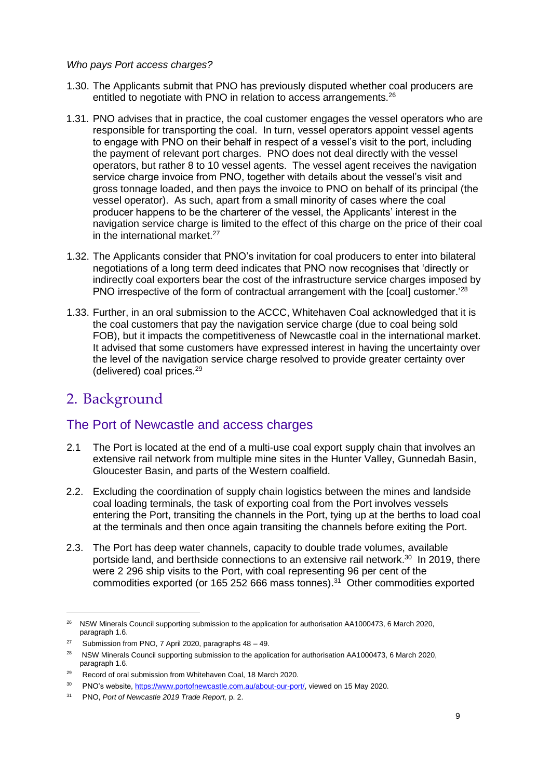#### *Who pays Port access charges?*

- 1.30. The Applicants submit that PNO has previously disputed whether coal producers are entitled to negotiate with PNO in relation to access arrangements. $26$
- 1.31. PNO advises that in practice, the coal customer engages the vessel operators who are responsible for transporting the coal. In turn, vessel operators appoint vessel agents to engage with PNO on their behalf in respect of a vessel's visit to the port, including the payment of relevant port charges. PNO does not deal directly with the vessel operators, but rather 8 to 10 vessel agents. The vessel agent receives the navigation service charge invoice from PNO, together with details about the vessel's visit and gross tonnage loaded, and then pays the invoice to PNO on behalf of its principal (the vessel operator). As such, apart from a small minority of cases where the coal producer happens to be the charterer of the vessel, the Applicants' interest in the navigation service charge is limited to the effect of this charge on the price of their coal in the international market. $27$
- 1.32. The Applicants consider that PNO's invitation for coal producers to enter into bilateral negotiations of a long term deed indicates that PNO now recognises that 'directly or indirectly coal exporters bear the cost of the infrastructure service charges imposed by PNO irrespective of the form of contractual arrangement with the [coal] customer.'<sup>28</sup>
- 1.33. Further, in an oral submission to the ACCC, Whitehaven Coal acknowledged that it is the coal customers that pay the navigation service charge (due to coal being sold FOB), but it impacts the competitiveness of Newcastle coal in the international market. It advised that some customers have expressed interest in having the uncertainty over the level of the navigation service charge resolved to provide greater certainty over (delivered) coal prices.<sup>29</sup>

## 2. Background

-

## The Port of Newcastle and access charges

- 2.1 The Port is located at the end of a multi-use coal export supply chain that involves an extensive rail network from multiple mine sites in the Hunter Valley, Gunnedah Basin, Gloucester Basin, and parts of the Western coalfield.
- 2.2. Excluding the coordination of supply chain logistics between the mines and landside coal loading terminals, the task of exporting coal from the Port involves vessels entering the Port, transiting the channels in the Port, tying up at the berths to load coal at the terminals and then once again transiting the channels before exiting the Port.
- 2.3. The Port has deep water channels, capacity to double trade volumes, available portside land, and berthside connections to an extensive rail network.<sup>30</sup> In 2019, there were 2 296 ship visits to the Port, with coal representing 96 per cent of the commodities exported (or 165 252 666 mass tonnes). <sup>31</sup> Other commodities exported

<sup>&</sup>lt;sup>26</sup> NSW Minerals Council supporting submission to the application for authorisation AA1000473, 6 March 2020, paragraph 1.6.

<sup>&</sup>lt;sup>27</sup> Submission from PNO, 7 April 2020, paragraphs  $48 - 49$ .

<sup>&</sup>lt;sup>28</sup> NSW Minerals Council supporting submission to the application for authorisation AA1000473, 6 March 2020, paragraph 1.6.

<sup>29</sup> Record of oral submission from Whitehaven Coal, 18 March 2020.

<sup>&</sup>lt;sup>30</sup> PNO's website, [https://www.portofnewcastle.com.au/about-our-port/,](https://www.portofnewcastle.com.au/about-our-port/) viewed on 15 May 2020.

<sup>31</sup> PNO, *Port of Newcastle 2019 Trade Report,* p. 2.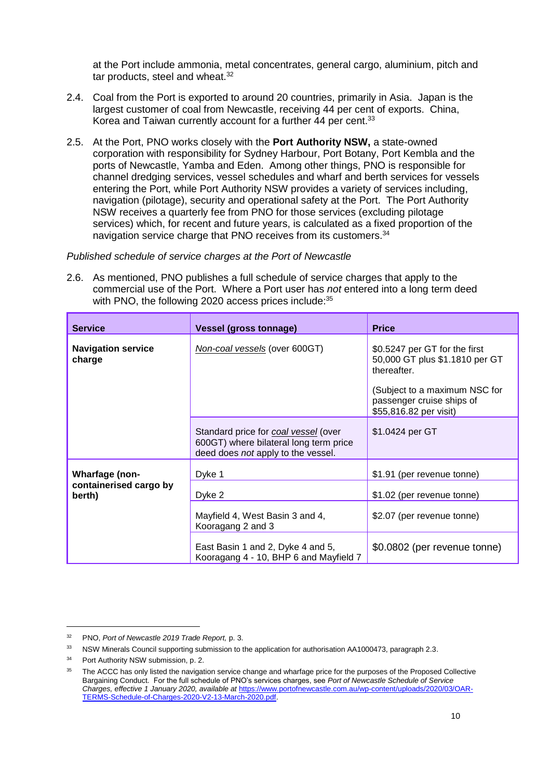at the Port include ammonia, metal concentrates, general cargo, aluminium, pitch and tar products, steel and wheat.<sup>32</sup>

- 2.4. Coal from the Port is exported to around 20 countries, primarily in Asia. Japan is the largest customer of coal from Newcastle, receiving 44 per cent of exports. China, Korea and Taiwan currently account for a further 44 per cent.<sup>33</sup>
- 2.5. At the Port, PNO works closely with the **Port Authority NSW,** a state-owned corporation with responsibility for Sydney Harbour, Port Botany, Port Kembla and the ports of Newcastle, Yamba and Eden. Among other things, PNO is responsible for channel dredging services, vessel schedules and wharf and berth services for vessels entering the Port, while Port Authority NSW provides a variety of services including, navigation (pilotage), security and operational safety at the Port. The Port Authority NSW receives a quarterly fee from PNO for those services (excluding pilotage services) which, for recent and future years, is calculated as a fixed proportion of the navigation service charge that PNO receives from its customers.<sup>34</sup>

#### *Published schedule of service charges at the Port of Newcastle*

<span id="page-9-0"></span>2.6. As mentioned, PNO publishes a full schedule of service charges that apply to the commercial use of the Port. Where a Port user has *not* entered into a long term deed with PNO, the following 2020 access prices include:<sup>35</sup>

| <b>Service</b>                      | <b>Vessel (gross tonnage)</b>                                                                                        | <b>Price</b>                                                                                                                                                           |
|-------------------------------------|----------------------------------------------------------------------------------------------------------------------|------------------------------------------------------------------------------------------------------------------------------------------------------------------------|
| <b>Navigation service</b><br>charge | Non-coal vessels (over 600GT)                                                                                        | \$0.5247 per GT for the first<br>50,000 GT plus \$1.1810 per GT<br>thereafter.<br>(Subject to a maximum NSC for<br>passenger cruise ships of<br>\$55,816.82 per visit) |
|                                     | Standard price for coal vessel (over<br>600GT) where bilateral long term price<br>deed does not apply to the vessel. | \$1.0424 per GT                                                                                                                                                        |
| <b>Wharfage (non-</b>               | Dyke 1                                                                                                               | \$1.91 (per revenue tonne)                                                                                                                                             |
| containerised cargo by<br>berth)    | Dyke 2                                                                                                               | \$1.02 (per revenue tonne)                                                                                                                                             |
|                                     | Mayfield 4, West Basin 3 and 4,<br>Kooragang 2 and 3                                                                 | \$2.07 (per revenue tonne)                                                                                                                                             |
|                                     | East Basin 1 and 2, Dyke 4 and 5,<br>Kooragang 4 - 10, BHP 6 and Mayfield 7                                          | \$0.0802 (per revenue tonne)                                                                                                                                           |

<sup>32</sup> PNO, *Port of Newcastle 2019 Trade Report,* p. 3.

<sup>&</sup>lt;sup>33</sup> NSW Minerals Council supporting submission to the application for authorisation AA1000473, paragraph 2.3.

Port Authority NSW submission, p. 2.

The ACCC has only listed the navigation service change and wharfage price for the purposes of the Proposed Collective Bargaining Conduct. For the full schedule of PNO's services charges, see *Port of Newcastle Schedule of Service Charges, effective 1 January 2020, available at* [https://www.portofnewcastle.com.au/wp-content/uploads/2020/03/OAR-](https://www.portofnewcastle.com.au/wp-content/uploads/2020/03/OAR-TERMS-Schedule-of-Charges-2020-V2-13-March-2020.pdf)[TERMS-Schedule-of-Charges-2020-V2-13-March-2020.pdf.](https://www.portofnewcastle.com.au/wp-content/uploads/2020/03/OAR-TERMS-Schedule-of-Charges-2020-V2-13-March-2020.pdf)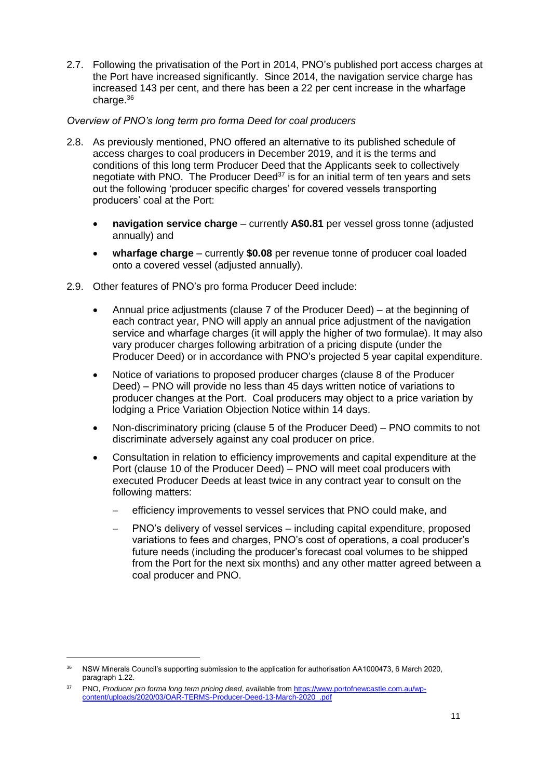2.7. Following the privatisation of the Port in 2014, PNO's published port access charges at the Port have increased significantly. Since 2014, the navigation service charge has increased 143 per cent, and there has been a 22 per cent increase in the wharfage charge.<sup>36</sup>

#### *Overview of PNO's long term pro forma Deed for coal producers*

- 2.8. As previously mentioned, PNO offered an alternative to its published schedule of access charges to coal producers in December 2019, and it is the terms and conditions of this long term Producer Deed that the Applicants seek to collectively negotiate with PNO. The Producer Deed<sup>37</sup> is for an initial term of ten years and sets out the following 'producer specific charges' for covered vessels transporting producers' coal at the Port:
	- **navigation service charge** currently **A\$0.81** per vessel gross tonne (adjusted annually) and
	- **wharfage charge** currently **\$0.08** per revenue tonne of producer coal loaded onto a covered vessel (adjusted annually).
- 2.9. Other features of PNO's pro forma Producer Deed include:
	- Annual price adjustments (clause 7 of the Producer Deed) at the beginning of each contract year, PNO will apply an annual price adjustment of the navigation service and wharfage charges (it will apply the higher of two formulae). It may also vary producer charges following arbitration of a pricing dispute (under the Producer Deed) or in accordance with PNO's projected 5 year capital expenditure.
	- Notice of variations to proposed producer charges (clause 8 of the Producer Deed) – PNO will provide no less than 45 days written notice of variations to producer changes at the Port. Coal producers may object to a price variation by lodging a Price Variation Objection Notice within 14 days.
	- Non-discriminatory pricing (clause 5 of the Producer Deed) PNO commits to not discriminate adversely against any coal producer on price.
	- Consultation in relation to efficiency improvements and capital expenditure at the Port (clause 10 of the Producer Deed) – PNO will meet coal producers with executed Producer Deeds at least twice in any contract year to consult on the following matters:
		- efficiency improvements to vessel services that PNO could make, and
		- PNO's delivery of vessel services including capital expenditure, proposed variations to fees and charges, PNO's cost of operations, a coal producer's future needs (including the producer's forecast coal volumes to be shipped from the Port for the next six months) and any other matter agreed between a coal producer and PNO.

<sup>&</sup>lt;sup>36</sup> NSW Minerals Council's supporting submission to the application for authorisation AA1000473, 6 March 2020, paragraph 1.22.

<sup>37</sup> PNO, *Producer pro forma long term pricing deed*, available fro[m https://www.portofnewcastle.com.au/wp](https://www.portofnewcastle.com.au/wp-content/uploads/2020/03/OAR-TERMS-Producer-Deed-13-March-2020_.pdf)[content/uploads/2020/03/OAR-TERMS-Producer-Deed-13-March-2020\\_.pdf](https://www.portofnewcastle.com.au/wp-content/uploads/2020/03/OAR-TERMS-Producer-Deed-13-March-2020_.pdf)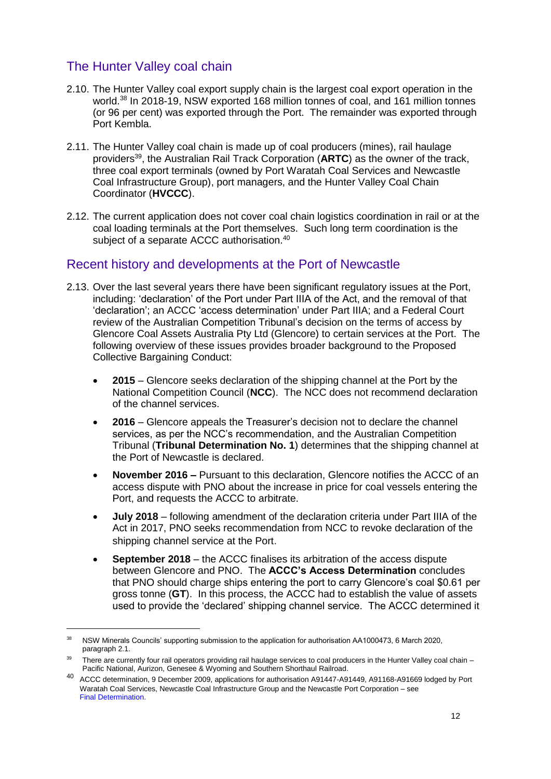## The Hunter Valley coal chain

- 2.10. The Hunter Valley coal export supply chain is the largest coal export operation in the world.<sup>38</sup> In 2018-19, NSW exported 168 million tonnes of coal, and 161 million tonnes (or 96 per cent) was exported through the Port. The remainder was exported through Port Kembla.
- 2.11. The Hunter Valley coal chain is made up of coal producers (mines), rail haulage providers<sup>39</sup>, the Australian Rail Track Corporation (**ARTC**) as the owner of the track, three coal export terminals (owned by Port Waratah Coal Services and Newcastle Coal Infrastructure Group), port managers, and the Hunter Valley Coal Chain Coordinator (**HVCCC**).
- 2.12. The current application does not cover coal chain logistics coordination in rail or at the coal loading terminals at the Port themselves. Such long term coordination is the subject of a separate ACCC authorisation.<sup>40</sup>

## Recent history and developments at the Port of Newcastle

- 2.13. Over the last several years there have been significant regulatory issues at the Port, including: 'declaration' of the Port under Part IIIA of the Act, and the removal of that 'declaration'; an ACCC 'access determination' under Part IIIA; and a Federal Court review of the Australian Competition Tribunal's decision on the terms of access by Glencore Coal Assets Australia Pty Ltd (Glencore) to certain services at the Port. The following overview of these issues provides broader background to the Proposed Collective Bargaining Conduct:
	- **2015**  Glencore seeks declaration of the shipping channel at the Port by the National Competition Council (**NCC**). The NCC does not recommend declaration of the channel services.
	- **2016**  Glencore appeals the Treasurer's decision not to declare the channel services, as per the NCC's recommendation, and the Australian Competition Tribunal (**Tribunal Determination No. 1**) determines that the shipping channel at the Port of Newcastle is declared.
	- **November 2016 –** Pursuant to this declaration, Glencore notifies the ACCC of an access dispute with PNO about the increase in price for coal vessels entering the Port, and requests the ACCC to arbitrate.
	- **July 2018**  following amendment of the declaration criteria under Part IIIA of the Act in 2017, PNO seeks recommendation from NCC to revoke declaration of the shipping channel service at the Port.
	- **September 2018**  the ACCC finalises its arbitration of the access dispute between Glencore and PNO. The **ACCC's Access Determination** concludes that PNO should charge ships entering the port to carry Glencore's coal \$0.61 per gross tonne (**GT**). In this process, the ACCC had to establish the value of assets used to provide the 'declared' shipping channel service. The ACCC determined it

<sup>&</sup>lt;sup>38</sup> NSW Minerals Councils' supporting submission to the application for authorisation AA1000473, 6 March 2020, paragraph 2.1.

<sup>&</sup>lt;sup>39</sup> There are currently four rail operators providing rail haulage services to coal producers in the Hunter Valley coal chain – Pacific National, Aurizon, Genesee & Wyoming and Southern Shorthaul Railroad.

<sup>40</sup> ACCC determination, 9 December 2009, applications for authorisation A91447-A91449, A91168-A91669 lodged by Port Waratah Coal Services, Newcastle Coal Infrastructure Group and the Newcastle Port Corporation – see Final Determination.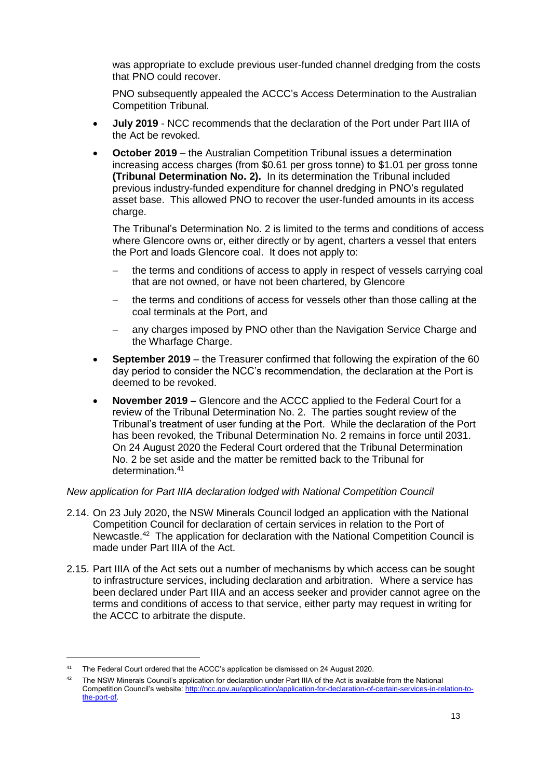was appropriate to exclude previous user-funded channel dredging from the costs that PNO could recover.

PNO subsequently appealed the ACCC's Access Determination to the Australian Competition Tribunal.

- **July 2019** NCC recommends that the declaration of the Port under Part IIIA of the Act be revoked.
- **October 2019** the Australian Competition Tribunal issues a determination increasing access charges (from \$0.61 per gross tonne) to \$1.01 per gross tonne **(Tribunal Determination No. 2).** In its determination the Tribunal included previous industry-funded expenditure for channel dredging in PNO's regulated asset base. This allowed PNO to recover the user-funded amounts in its access charge.

The Tribunal's Determination No. 2 is limited to the terms and conditions of access where Glencore owns or, either directly or by agent, charters a vessel that enters the Port and loads Glencore coal. It does not apply to:

- the terms and conditions of access to apply in respect of vessels carrying coal that are not owned, or have not been chartered, by Glencore
- the terms and conditions of access for vessels other than those calling at the coal terminals at the Port, and
- any charges imposed by PNO other than the Navigation Service Charge and the Wharfage Charge.
- **September 2019** the Treasurer confirmed that following the expiration of the 60 day period to consider the NCC's recommendation, the declaration at the Port is deemed to be revoked.
- **November 2019 –** Glencore and the ACCC applied to the Federal Court for a review of the Tribunal Determination No. 2. The parties sought review of the Tribunal's treatment of user funding at the Port. While the declaration of the Port has been revoked, the Tribunal Determination No. 2 remains in force until 2031. On 24 August 2020 the Federal Court ordered that the Tribunal Determination No. 2 be set aside and the matter be remitted back to the Tribunal for determination.<sup>41</sup>

#### *New application for Part IIIA declaration lodged with National Competition Council*

- 2.14. On 23 July 2020, the NSW Minerals Council lodged an application with the National Competition Council for declaration of certain services in relation to the Port of Newcastle.<sup>42</sup> The application for declaration with the National Competition Council is made under Part IIIA of the Act.
- 2.15. Part IIIA of the Act sets out a number of mechanisms by which access can be sought to infrastructure services, including declaration and arbitration. Where a service has been declared under Part IIIA and an access seeker and provider cannot agree on the terms and conditions of access to that service, either party may request in writing for the ACCC to arbitrate the dispute.

<sup>41</sup> The Federal Court ordered that the ACCC's application be dismissed on 24 August 2020.

<sup>&</sup>lt;sup>42</sup> The NSW Minerals Council's application for declaration under Part IIIA of the Act is available from the National Competition Council's website: [http://ncc.gov.au/application/application-for-declaration-of-certain-services-in-relation-to](http://ncc.gov.au/application/application-for-declaration-of-certain-services-in-relation-to-the-port-of)[the-port-of.](http://ncc.gov.au/application/application-for-declaration-of-certain-services-in-relation-to-the-port-of)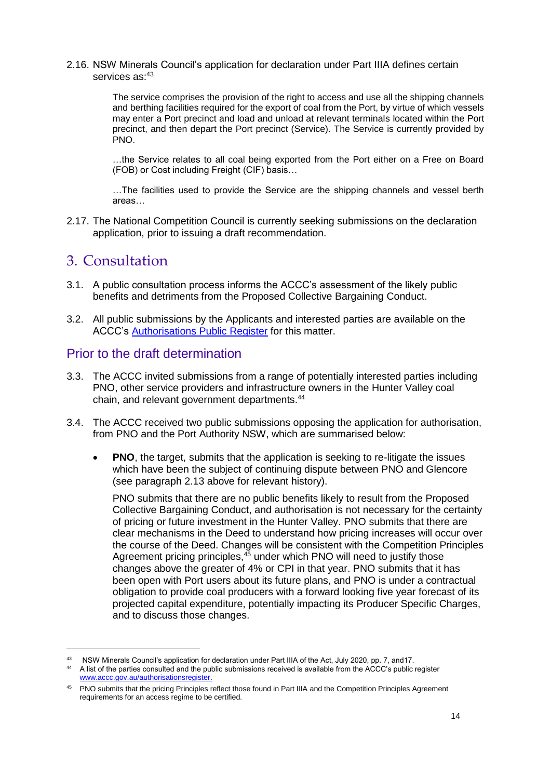#### 2.16. NSW Minerals Council's application for declaration under Part IIIA defines certain services as: 43

The service comprises the provision of the right to access and use all the shipping channels and berthing facilities required for the export of coal from the Port, by virtue of which vessels may enter a Port precinct and load and unload at relevant terminals located within the Port precinct, and then depart the Port precinct (Service). The Service is currently provided by PNO.

…the Service relates to all coal being exported from the Port either on a Free on Board (FOB) or Cost including Freight (CIF) basis…

…The facilities used to provide the Service are the shipping channels and vessel berth areas…

2.17. The National Competition Council is currently seeking submissions on the declaration application, prior to issuing a draft recommendation.

## 3. Consultation

-

- 3.1. A public consultation process informs the ACCC's assessment of the likely public benefits and detriments from the Proposed Collective Bargaining Conduct.
- 3.2. All public submissions by the Applicants and interested parties are available on the ACCC's [Authorisations Public Register](https://www.accc.gov.au/public-registers/authorisations-and-notifications-registers/authorisations-register/new-south-wales-minerals-council-nswmc) for this matter.

## Prior to the draft determination

- 3.3. The ACCC invited submissions from a range of potentially interested parties including PNO, other service providers and infrastructure owners in the Hunter Valley coal chain, and relevant government departments.<sup>44</sup>
- 3.4. The ACCC received two public submissions opposing the application for authorisation, from PNO and the Port Authority NSW, which are summarised below:
	- **PNO**, the target, submits that the application is seeking to re-litigate the issues which have been the subject of continuing dispute between PNO and Glencore (see paragraph 2.13 above for relevant history).

PNO submits that there are no public benefits likely to result from the Proposed Collective Bargaining Conduct, and authorisation is not necessary for the certainty of pricing or future investment in the Hunter Valley. PNO submits that there are clear mechanisms in the Deed to understand how pricing increases will occur over the course of the Deed. Changes will be consistent with the Competition Principles Agreement pricing principles,<sup>45</sup> under which PNO will need to justify those changes above the greater of 4% or CPI in that year. PNO submits that it has been open with Port users about its future plans, and PNO is under a contractual obligation to provide coal producers with a forward looking five year forecast of its projected capital expenditure, potentially impacting its Producer Specific Charges, and to discuss those changes.

<sup>43</sup> NSW Minerals Council's application for declaration under Part IIIA of the Act, July 2020, pp. 7, and17.

<sup>44</sup> A list of the parties consulted and the public submissions received is available from the ACCC's public register [www.accc.gov.au/authorisationsregister.](http://www.accc.gov.au/authorisationsregister)

<sup>&</sup>lt;sup>45</sup> PNO submits that the pricing Principles reflect those found in Part IIIA and the Competition Principles Agreement requirements for an access regime to be certified.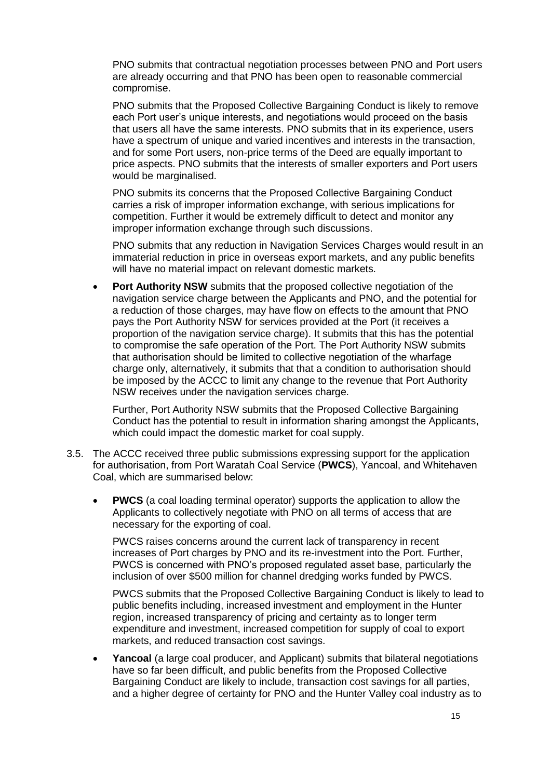PNO submits that contractual negotiation processes between PNO and Port users are already occurring and that PNO has been open to reasonable commercial compromise.

PNO submits that the Proposed Collective Bargaining Conduct is likely to remove each Port user's unique interests, and negotiations would proceed on the basis that users all have the same interests. PNO submits that in its experience, users have a spectrum of unique and varied incentives and interests in the transaction, and for some Port users, non-price terms of the Deed are equally important to price aspects. PNO submits that the interests of smaller exporters and Port users would be marginalised.

PNO submits its concerns that the Proposed Collective Bargaining Conduct carries a risk of improper information exchange, with serious implications for competition. Further it would be extremely difficult to detect and monitor any improper information exchange through such discussions.

PNO submits that any reduction in Navigation Services Charges would result in an immaterial reduction in price in overseas export markets, and any public benefits will have no material impact on relevant domestic markets.

 **Port Authority NSW** submits that the proposed collective negotiation of the navigation service charge between the Applicants and PNO, and the potential for a reduction of those charges, may have flow on effects to the amount that PNO pays the Port Authority NSW for services provided at the Port (it receives a proportion of the navigation service charge). It submits that this has the potential to compromise the safe operation of the Port. The Port Authority NSW submits that authorisation should be limited to collective negotiation of the wharfage charge only, alternatively, it submits that that a condition to authorisation should be imposed by the ACCC to limit any change to the revenue that Port Authority NSW receives under the navigation services charge.

Further, Port Authority NSW submits that the Proposed Collective Bargaining Conduct has the potential to result in information sharing amongst the Applicants, which could impact the domestic market for coal supply.

- 3.5. The ACCC received three public submissions expressing support for the application for authorisation, from Port Waratah Coal Service (**PWCS**), Yancoal, and Whitehaven Coal, which are summarised below:
	- **PWCS** (a coal loading terminal operator) supports the application to allow the Applicants to collectively negotiate with PNO on all terms of access that are necessary for the exporting of coal.

PWCS raises concerns around the current lack of transparency in recent increases of Port charges by PNO and its re-investment into the Port. Further, PWCS is concerned with PNO's proposed regulated asset base, particularly the inclusion of over \$500 million for channel dredging works funded by PWCS.

PWCS submits that the Proposed Collective Bargaining Conduct is likely to lead to public benefits including, increased investment and employment in the Hunter region, increased transparency of pricing and certainty as to longer term expenditure and investment, increased competition for supply of coal to export markets, and reduced transaction cost savings.

 **Yancoal** (a large coal producer, and Applicant) submits that bilateral negotiations have so far been difficult, and public benefits from the Proposed Collective Bargaining Conduct are likely to include, transaction cost savings for all parties, and a higher degree of certainty for PNO and the Hunter Valley coal industry as to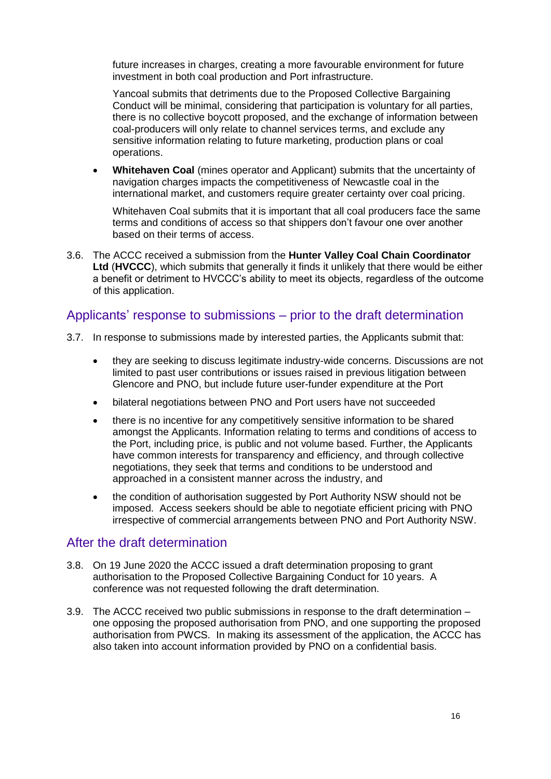future increases in charges, creating a more favourable environment for future investment in both coal production and Port infrastructure.

Yancoal submits that detriments due to the Proposed Collective Bargaining Conduct will be minimal, considering that participation is voluntary for all parties, there is no collective boycott proposed, and the exchange of information between coal-producers will only relate to channel services terms, and exclude any sensitive information relating to future marketing, production plans or coal operations.

 **Whitehaven Coal** (mines operator and Applicant) submits that the uncertainty of navigation charges impacts the competitiveness of Newcastle coal in the international market, and customers require greater certainty over coal pricing.

Whitehaven Coal submits that it is important that all coal producers face the same terms and conditions of access so that shippers don't favour one over another based on their terms of access.

3.6. The ACCC received a submission from the **Hunter Valley Coal Chain Coordinator Ltd** (**HVCCC**), which submits that generally it finds it unlikely that there would be either a benefit or detriment to HVCCC's ability to meet its objects, regardless of the outcome of this application.

## Applicants' response to submissions – prior to the draft determination

- 3.7. In response to submissions made by interested parties, the Applicants submit that:
	- they are seeking to discuss legitimate industry-wide concerns. Discussions are not limited to past user contributions or issues raised in previous litigation between Glencore and PNO, but include future user-funder expenditure at the Port
	- bilateral negotiations between PNO and Port users have not succeeded
	- there is no incentive for any competitively sensitive information to be shared amongst the Applicants. Information relating to terms and conditions of access to the Port, including price, is public and not volume based. Further, the Applicants have common interests for transparency and efficiency, and through collective negotiations, they seek that terms and conditions to be understood and approached in a consistent manner across the industry, and
	- the condition of authorisation suggested by Port Authority NSW should not be imposed. Access seekers should be able to negotiate efficient pricing with PNO irrespective of commercial arrangements between PNO and Port Authority NSW.

## After the draft determination

- 3.8. On 19 June 2020 the ACCC issued a draft determination proposing to grant authorisation to the Proposed Collective Bargaining Conduct for 10 years. A conference was not requested following the draft determination.
- 3.9. The ACCC received two public submissions in response to the draft determination one opposing the proposed authorisation from PNO, and one supporting the proposed authorisation from PWCS. In making its assessment of the application, the ACCC has also taken into account information provided by PNO on a confidential basis.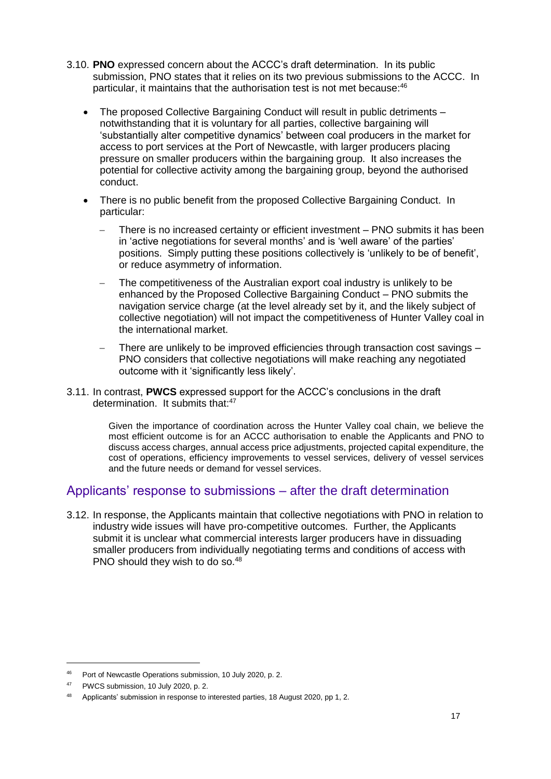- 3.10. **PNO** expressed concern about the ACCC's draft determination. In its public submission, PNO states that it relies on its two previous submissions to the ACCC. In particular, it maintains that the authorisation test is not met because: 46
	- The proposed Collective Bargaining Conduct will result in public detriments notwithstanding that it is voluntary for all parties, collective bargaining will 'substantially alter competitive dynamics' between coal producers in the market for access to port services at the Port of Newcastle, with larger producers placing pressure on smaller producers within the bargaining group. It also increases the potential for collective activity among the bargaining group, beyond the authorised conduct.
	- There is no public benefit from the proposed Collective Bargaining Conduct. In particular:
		- There is no increased certainty or efficient investment PNO submits it has been in 'active negotiations for several months' and is 'well aware' of the parties' positions. Simply putting these positions collectively is 'unlikely to be of benefit', or reduce asymmetry of information.
		- The competitiveness of the Australian export coal industry is unlikely to be enhanced by the Proposed Collective Bargaining Conduct – PNO submits the navigation service charge (at the level already set by it, and the likely subject of collective negotiation) will not impact the competitiveness of Hunter Valley coal in the international market.
		- There are unlikely to be improved efficiencies through transaction cost savings PNO considers that collective negotiations will make reaching any negotiated outcome with it 'significantly less likely'.
- 3.11. In contrast, **PWCS** expressed support for the ACCC's conclusions in the draft determination. It submits that:<sup>47</sup>

Given the importance of coordination across the Hunter Valley coal chain, we believe the most efficient outcome is for an ACCC authorisation to enable the Applicants and PNO to discuss access charges, annual access price adjustments, projected capital expenditure, the cost of operations, efficiency improvements to vessel services, delivery of vessel services and the future needs or demand for vessel services.

## Applicants' response to submissions – after the draft determination

3.12. In response, the Applicants maintain that collective negotiations with PNO in relation to industry wide issues will have pro-competitive outcomes. Further, the Applicants submit it is unclear what commercial interests larger producers have in dissuading smaller producers from individually negotiating terms and conditions of access with PNO should they wish to do so.<sup>48</sup>

<sup>46</sup> Port of Newcastle Operations submission, 10 July 2020, p. 2.

<sup>47</sup> PWCS submission, 10 July 2020, p. 2.

<sup>48</sup> Applicants' submission in response to interested parties, 18 August 2020, pp 1, 2.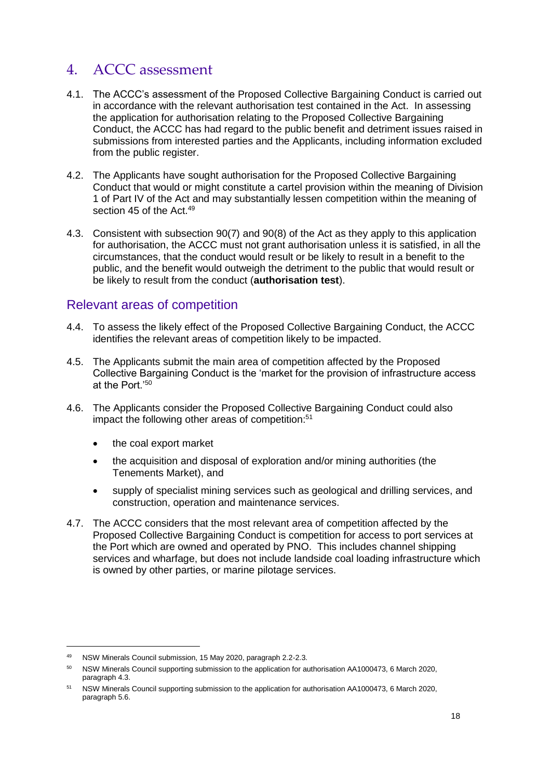# 4. ACCC assessment

- 4.1. The ACCC's assessment of the Proposed Collective Bargaining Conduct is carried out in accordance with the relevant authorisation test contained in the Act. In assessing the application for authorisation relating to the Proposed Collective Bargaining Conduct, the ACCC has had regard to the public benefit and detriment issues raised in submissions from interested parties and the Applicants, including information excluded from the public register.
- 4.2. The Applicants have sought authorisation for the Proposed Collective Bargaining Conduct that would or might constitute a cartel provision within the meaning of Division 1 of Part IV of the Act and may substantially lessen competition within the meaning of section 45 of the Act. 49
- 4.3. Consistent with subsection 90(7) and 90(8) of the Act as they apply to this application for authorisation, the ACCC must not grant authorisation unless it is satisfied, in all the circumstances, that the conduct would result or be likely to result in a benefit to the public, and the benefit would outweigh the detriment to the public that would result or be likely to result from the conduct (**authorisation test**).

## Relevant areas of competition

- 4.4. To assess the likely effect of the Proposed Collective Bargaining Conduct, the ACCC identifies the relevant areas of competition likely to be impacted.
- 4.5. The Applicants submit the main area of competition affected by the Proposed Collective Bargaining Conduct is the 'market for the provision of infrastructure access at the Port<sup>'50</sup>
- 4.6. The Applicants consider the Proposed Collective Bargaining Conduct could also impact the following other areas of competition:<sup>51</sup>
	- the coal export market
	- the acquisition and disposal of exploration and/or mining authorities (the Tenements Market), and
	- supply of specialist mining services such as geological and drilling services, and construction, operation and maintenance services.
- 4.7. The ACCC considers that the most relevant area of competition affected by the Proposed Collective Bargaining Conduct is competition for access to port services at the Port which are owned and operated by PNO. This includes channel shipping services and wharfage, but does not include landside coal loading infrastructure which is owned by other parties, or marine pilotage services.

<sup>49</sup> NSW Minerals Council submission, 15 May 2020, paragraph 2.2-2.3.

<sup>50</sup> NSW Minerals Council supporting submission to the application for authorisation AA1000473, 6 March 2020, paragraph 4.3.

<sup>51</sup> NSW Minerals Council supporting submission to the application for authorisation AA1000473, 6 March 2020, paragraph 5.6.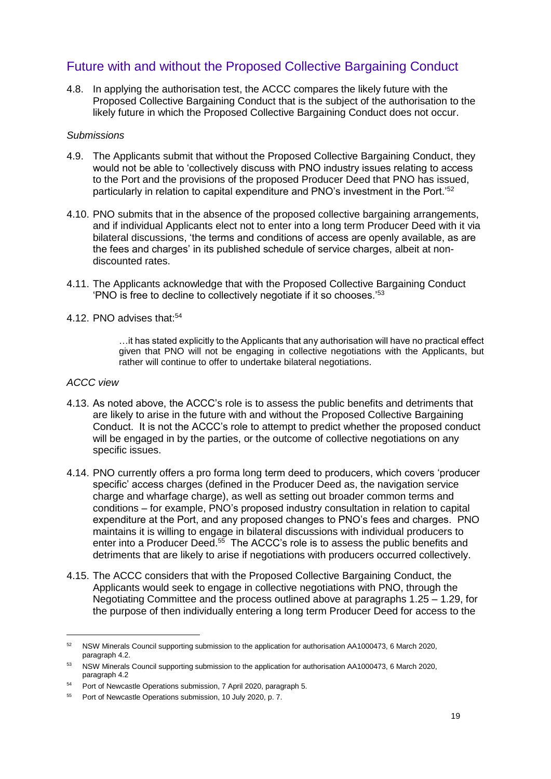## Future with and without the Proposed Collective Bargaining Conduct

4.8. In applying the authorisation test, the ACCC compares the likely future with the Proposed Collective Bargaining Conduct that is the subject of the authorisation to the likely future in which the Proposed Collective Bargaining Conduct does not occur.

#### *Submissions*

- 4.9. The Applicants submit that without the Proposed Collective Bargaining Conduct, they would not be able to 'collectively discuss with PNO industry issues relating to access to the Port and the provisions of the proposed Producer Deed that PNO has issued, particularly in relation to capital expenditure and PNO's investment in the Port.'<sup>52</sup>
- 4.10. PNO submits that in the absence of the proposed collective bargaining arrangements, and if individual Applicants elect not to enter into a long term Producer Deed with it via bilateral discussions, 'the terms and conditions of access are openly available, as are the fees and charges' in its published schedule of service charges, albeit at nondiscounted rates.
- 4.11. The Applicants acknowledge that with the Proposed Collective Bargaining Conduct 'PNO is free to decline to collectively negotiate if it so chooses.'<sup>53</sup>
- 4.12. PNO advises that:<sup>54</sup>

…it has stated explicitly to the Applicants that any authorisation will have no practical effect given that PNO will not be engaging in collective negotiations with the Applicants, but rather will continue to offer to undertake bilateral negotiations.

#### *ACCC view*

- 4.13. As noted above, the ACCC's role is to assess the public benefits and detriments that are likely to arise in the future with and without the Proposed Collective Bargaining Conduct. It is not the ACCC's role to attempt to predict whether the proposed conduct will be engaged in by the parties, or the outcome of collective negotiations on any specific issues.
- 4.14. PNO currently offers a pro forma long term deed to producers, which covers 'producer specific' access charges (defined in the Producer Deed as, the navigation service charge and wharfage charge), as well as setting out broader common terms and conditions – for example, PNO's proposed industry consultation in relation to capital expenditure at the Port, and any proposed changes to PNO's fees and charges. PNO maintains it is willing to engage in bilateral discussions with individual producers to enter into a Producer Deed.<sup>55</sup> The ACCC's role is to assess the public benefits and detriments that are likely to arise if negotiations with producers occurred collectively.
- 4.15. The ACCC considers that with the Proposed Collective Bargaining Conduct, the Applicants would seek to engage in collective negotiations with PNO, through the Negotiating Committee and the process outlined above at paragraphs [1.25](#page-7-0) – [1.29,](#page-7-1) for the purpose of then individually entering a long term Producer Deed for access to the

<sup>52</sup> NSW Minerals Council supporting submission to the application for authorisation AA1000473, 6 March 2020, paragraph 4.2.

<sup>53</sup> NSW Minerals Council supporting submission to the application for authorisation AA1000473, 6 March 2020, paragraph 4.2

<sup>54</sup> Port of Newcastle Operations submission, 7 April 2020, paragraph 5.

<sup>55</sup> Port of Newcastle Operations submission, 10 July 2020, p. 7.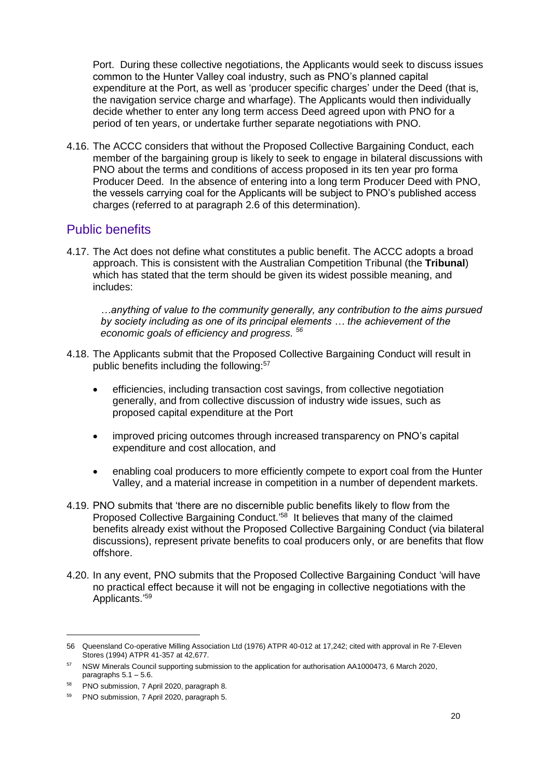Port. During these collective negotiations, the Applicants would seek to discuss issues common to the Hunter Valley coal industry, such as PNO's planned capital expenditure at the Port, as well as 'producer specific charges' under the Deed (that is, the navigation service charge and wharfage). The Applicants would then individually decide whether to enter any long term access Deed agreed upon with PNO for a period of ten years, or undertake further separate negotiations with PNO.

4.16. The ACCC considers that without the Proposed Collective Bargaining Conduct, each member of the bargaining group is likely to seek to engage in bilateral discussions with PNO about the terms and conditions of access proposed in its ten year pro forma Producer Deed. In the absence of entering into a long term Producer Deed with PNO, the vessels carrying coal for the Applicants will be subject to PNO's published access charges (referred to at paragraph [2.6](#page-9-0) of this determination).

## Public benefits

4.17. The Act does not define what constitutes a public benefit. The ACCC adopts a broad approach. This is consistent with the Australian Competition Tribunal (the **Tribunal**) which has stated that the term should be given its widest possible meaning, and includes:

*…anything of value to the community generally, any contribution to the aims pursued by society including as one of its principal elements … the achievement of the economic goals of efficiency and progress. <sup>56</sup>*

- 4.18. The Applicants submit that the Proposed Collective Bargaining Conduct will result in public benefits including the following:<sup>57</sup>
	- efficiencies, including transaction cost savings, from collective negotiation generally, and from collective discussion of industry wide issues, such as proposed capital expenditure at the Port
	- improved pricing outcomes through increased transparency on PNO's capital expenditure and cost allocation, and
	- enabling coal producers to more efficiently compete to export coal from the Hunter Valley, and a material increase in competition in a number of dependent markets.
- 4.19. PNO submits that 'there are no discernible public benefits likely to flow from the Proposed Collective Bargaining Conduct.<sup>'58</sup> It believes that many of the claimed benefits already exist without the Proposed Collective Bargaining Conduct (via bilateral discussions), represent private benefits to coal producers only, or are benefits that flow offshore.
- 4.20. In any event, PNO submits that the Proposed Collective Bargaining Conduct 'will have no practical effect because it will not be engaging in collective negotiations with the Applicants.' 59

<sup>56</sup> Queensland Co-operative Milling Association Ltd (1976) ATPR 40-012 at 17,242; cited with approval in Re 7-Eleven Stores (1994) ATPR 41-357 at 42,677.

<sup>57</sup> NSW Minerals Council supporting submission to the application for authorisation AA1000473, 6 March 2020, paragraphs 5.1 – 5.6.

<sup>58</sup> PNO submission, 7 April 2020, paragraph 8.

<sup>59</sup> PNO submission, 7 April 2020, paragraph 5.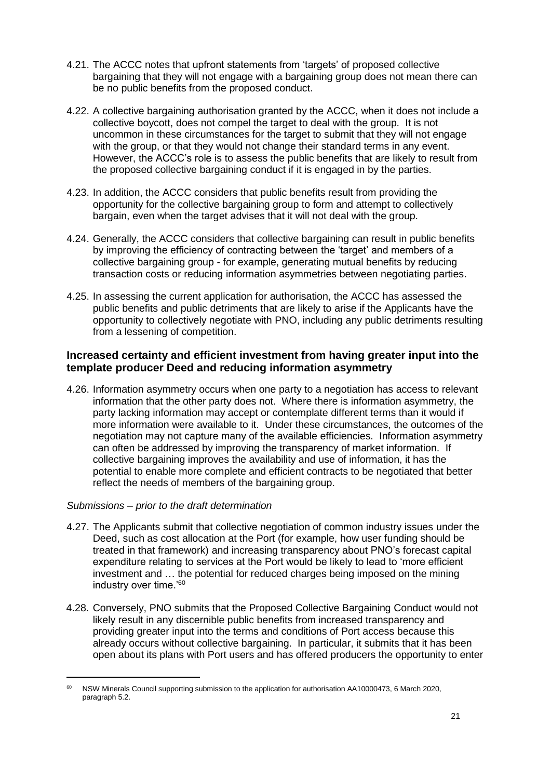- 4.21. The ACCC notes that upfront statements from 'targets' of proposed collective bargaining that they will not engage with a bargaining group does not mean there can be no public benefits from the proposed conduct.
- 4.22. A collective bargaining authorisation granted by the ACCC, when it does not include a collective boycott, does not compel the target to deal with the group. It is not uncommon in these circumstances for the target to submit that they will not engage with the group, or that they would not change their standard terms in any event. However, the ACCC's role is to assess the public benefits that are likely to result from the proposed collective bargaining conduct if it is engaged in by the parties.
- 4.23. In addition, the ACCC considers that public benefits result from providing the opportunity for the collective bargaining group to form and attempt to collectively bargain, even when the target advises that it will not deal with the group.
- 4.24. Generally, the ACCC considers that collective bargaining can result in public benefits by improving the efficiency of contracting between the 'target' and members of a collective bargaining group - for example, generating mutual benefits by reducing transaction costs or reducing information asymmetries between negotiating parties.
- 4.25. In assessing the current application for authorisation, the ACCC has assessed the public benefits and public detriments that are likely to arise if the Applicants have the opportunity to collectively negotiate with PNO, including any public detriments resulting from a lessening of competition.

#### **Increased certainty and efficient investment from having greater input into the template producer Deed and reducing information asymmetry**

4.26. Information asymmetry occurs when one party to a negotiation has access to relevant information that the other party does not. Where there is information asymmetry, the party lacking information may accept or contemplate different terms than it would if more information were available to it. Under these circumstances, the outcomes of the negotiation may not capture many of the available efficiencies. Information asymmetry can often be addressed by improving the transparency of market information. If collective bargaining improves the availability and use of information, it has the potential to enable more complete and efficient contracts to be negotiated that better reflect the needs of members of the bargaining group.

#### *Submissions – prior to the draft determination*

- 4.27. The Applicants submit that collective negotiation of common industry issues under the Deed, such as cost allocation at the Port (for example, how user funding should be treated in that framework) and increasing transparency about PNO's forecast capital expenditure relating to services at the Port would be likely to lead to 'more efficient investment and … the potential for reduced charges being imposed on the mining industry over time.'<sup>60</sup>
- 4.28. Conversely, PNO submits that the Proposed Collective Bargaining Conduct would not likely result in any discernible public benefits from increased transparency and providing greater input into the terms and conditions of Port access because this already occurs without collective bargaining. In particular, it submits that it has been open about its plans with Port users and has offered producers the opportunity to enter

<sup>60</sup> NSW Minerals Council supporting submission to the application for authorisation AA10000473, 6 March 2020, paragraph 5.2.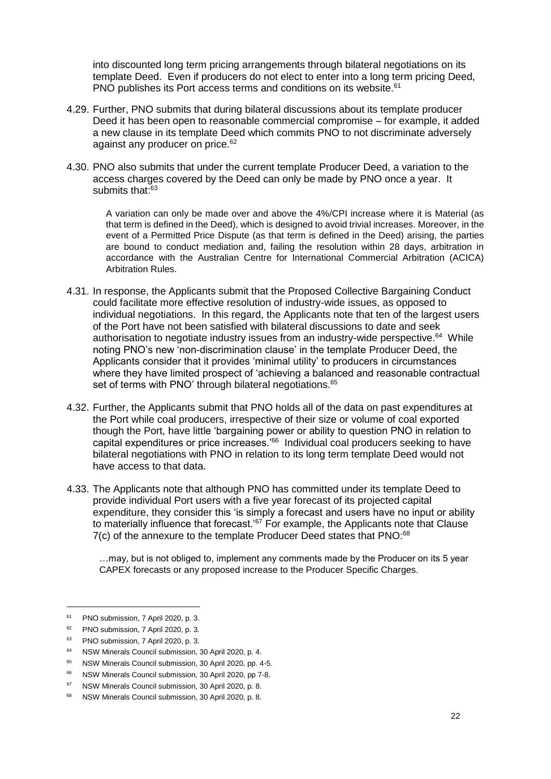into discounted long term pricing arrangements through bilateral negotiations on its template Deed. Even if producers do not elect to enter into a long term pricing Deed, PNO publishes its Port access terms and conditions on its website.<sup>61</sup>

- 4.29. Further, PNO submits that during bilateral discussions about its template producer Deed it has been open to reasonable commercial compromise – for example, it added a new clause in its template Deed which commits PNO to not discriminate adversely against any producer on price.<sup>62</sup>
- 4.30. PNO also submits that under the current template Producer Deed, a variation to the access charges covered by the Deed can only be made by PNO once a year. It submits that:<sup>63</sup>

A variation can only be made over and above the 4%/CPI increase where it is Material (as that term is defined in the Deed), which is designed to avoid trivial increases. Moreover, in the event of a Permitted Price Dispute (as that term is defined in the Deed) arising, the parties are bound to conduct mediation and, failing the resolution within 28 days, arbitration in accordance with the Australian Centre for International Commercial Arbitration (ACICA) Arbitration Rules.

- 4.31. In response, the Applicants submit that the Proposed Collective Bargaining Conduct could facilitate more effective resolution of industry-wide issues, as opposed to individual negotiations. In this regard, the Applicants note that ten of the largest users of the Port have not been satisfied with bilateral discussions to date and seek authorisation to negotiate industry issues from an industry-wide perspective.<sup>64</sup> While noting PNO's new 'non-discrimination clause' in the template Producer Deed, the Applicants consider that it provides 'minimal utility' to producers in circumstances where they have limited prospect of 'achieving a balanced and reasonable contractual set of terms with PNO' through bilateral negotiations.<sup>65</sup>
- 4.32. Further, the Applicants submit that PNO holds all of the data on past expenditures at the Port while coal producers, irrespective of their size or volume of coal exported though the Port, have little 'bargaining power or ability to question PNO in relation to capital expenditures or price increases.'<sup>66</sup> Individual coal producers seeking to have bilateral negotiations with PNO in relation to its long term template Deed would not have access to that data.
- 4.33. The Applicants note that although PNO has committed under its template Deed to provide individual Port users with a five year forecast of its projected capital expenditure, they consider this 'is simply a forecast and users have no input or ability to materially influence that forecast.'<sup>67</sup> For example, the Applicants note that Clause 7(c) of the annexure to the template Producer Deed states that PNO:<sup>68</sup>

…may, but is not obliged to, implement any comments made by the Producer on its 5 year CAPEX forecasts or any proposed increase to the Producer Specific Charges.

<sup>61</sup> PNO submission, 7 April 2020, p. 3.

<sup>62</sup> PNO submission, 7 April 2020, p. 3.

<sup>63</sup> PNO submission, 7 April 2020, p. 3.

<sup>64</sup> NSW Minerals Council submission, 30 April 2020, p. 4.

<sup>65</sup> NSW Minerals Council submission, 30 April 2020, pp. 4-5.

<sup>66</sup> NSW Minerals Council submission, 30 April 2020, pp 7-8.

<sup>67</sup> NSW Minerals Council submission, 30 April 2020, p. 8.

<sup>68</sup> NSW Minerals Council submission, 30 April 2020, p. 8.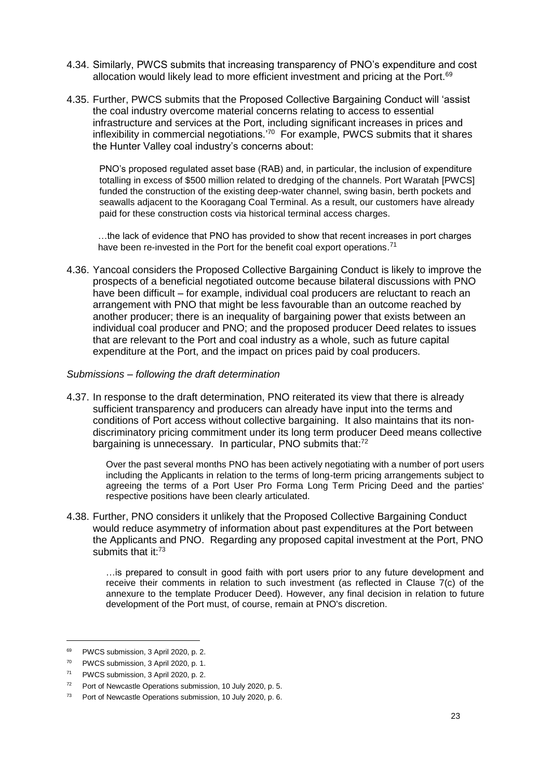- 4.34. Similarly, PWCS submits that increasing transparency of PNO's expenditure and cost allocation would likely lead to more efficient investment and pricing at the Port.<sup>69</sup>
- 4.35. Further, PWCS submits that the Proposed Collective Bargaining Conduct will 'assist the coal industry overcome material concerns relating to access to essential infrastructure and services at the Port, including significant increases in prices and inflexibility in commercial negotiations.'<sup>70</sup> For example, PWCS submits that it shares the Hunter Valley coal industry's concerns about:

PNO's proposed regulated asset base (RAB) and, in particular, the inclusion of expenditure totalling in excess of \$500 million related to dredging of the channels. Port Waratah [PWCS] funded the construction of the existing deep-water channel, swing basin, berth pockets and seawalls adjacent to the Kooragang Coal Terminal. As a result, our customers have already paid for these construction costs via historical terminal access charges.

…the lack of evidence that PNO has provided to show that recent increases in port charges have been re-invested in the Port for the benefit coal export operations.<sup>71</sup>

4.36. Yancoal considers the Proposed Collective Bargaining Conduct is likely to improve the prospects of a beneficial negotiated outcome because bilateral discussions with PNO have been difficult – for example, individual coal producers are reluctant to reach an arrangement with PNO that might be less favourable than an outcome reached by another producer; there is an inequality of bargaining power that exists between an individual coal producer and PNO; and the proposed producer Deed relates to issues that are relevant to the Port and coal industry as a whole, such as future capital expenditure at the Port, and the impact on prices paid by coal producers.

#### *Submissions – following the draft determination*

4.37. In response to the draft determination, PNO reiterated its view that there is already sufficient transparency and producers can already have input into the terms and conditions of Port access without collective bargaining. It also maintains that its nondiscriminatory pricing commitment under its long term producer Deed means collective bargaining is unnecessary. In particular, PNO submits that:<sup>72</sup>

Over the past several months PNO has been actively negotiating with a number of port users including the Applicants in relation to the terms of long-term pricing arrangements subject to agreeing the terms of a Port User Pro Forma Long Term Pricing Deed and the parties' respective positions have been clearly articulated.

4.38. Further, PNO considers it unlikely that the Proposed Collective Bargaining Conduct would reduce asymmetry of information about past expenditures at the Port between the Applicants and PNO. Regarding any proposed capital investment at the Port, PNO submits that it:<sup>73</sup>

…is prepared to consult in good faith with port users prior to any future development and receive their comments in relation to such investment (as reflected in Clause 7(c) of the annexure to the template Producer Deed). However, any final decision in relation to future development of the Port must, of course, remain at PNO's discretion.

<sup>69</sup> PWCS submission, 3 April 2020, p. 2.

<sup>70</sup> PWCS submission, 3 April 2020, p. 1.

<sup>71</sup> PWCS submission, 3 April 2020, p. 2.

<sup>72</sup> Port of Newcastle Operations submission, 10 July 2020, p. 5.

<sup>73</sup> Port of Newcastle Operations submission, 10 July 2020, p. 6.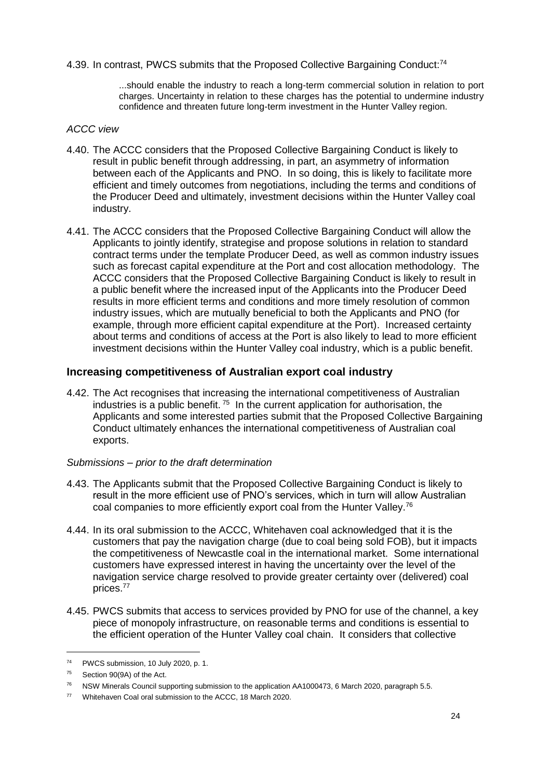4.39. In contrast, PWCS submits that the Proposed Collective Bargaining Conduct:<sup>74</sup>

...should enable the industry to reach a long-term commercial solution in relation to port charges. Uncertainty in relation to these charges has the potential to undermine industry confidence and threaten future long-term investment in the Hunter Valley region.

#### *ACCC view*

- 4.40. The ACCC considers that the Proposed Collective Bargaining Conduct is likely to result in public benefit through addressing, in part, an asymmetry of information between each of the Applicants and PNO. In so doing, this is likely to facilitate more efficient and timely outcomes from negotiations, including the terms and conditions of the Producer Deed and ultimately, investment decisions within the Hunter Valley coal industry.
- 4.41. The ACCC considers that the Proposed Collective Bargaining Conduct will allow the Applicants to jointly identify, strategise and propose solutions in relation to standard contract terms under the template Producer Deed, as well as common industry issues such as forecast capital expenditure at the Port and cost allocation methodology. The ACCC considers that the Proposed Collective Bargaining Conduct is likely to result in a public benefit where the increased input of the Applicants into the Producer Deed results in more efficient terms and conditions and more timely resolution of common industry issues, which are mutually beneficial to both the Applicants and PNO (for example, through more efficient capital expenditure at the Port). Increased certainty about terms and conditions of access at the Port is also likely to lead to more efficient investment decisions within the Hunter Valley coal industry, which is a public benefit.

#### **Increasing competitiveness of Australian export coal industry**

4.42. The Act recognises that increasing the international competitiveness of Australian industries is a public benefit.<sup>75</sup> In the current application for authorisation, the Applicants and some interested parties submit that the Proposed Collective Bargaining Conduct ultimately enhances the international competitiveness of Australian coal exports.

#### *Submissions – prior to the draft determination*

- 4.43. The Applicants submit that the Proposed Collective Bargaining Conduct is likely to result in the more efficient use of PNO's services, which in turn will allow Australian coal companies to more efficiently export coal from the Hunter Valley.<sup>76</sup>
- 4.44. In its oral submission to the ACCC, Whitehaven coal acknowledged that it is the customers that pay the navigation charge (due to coal being sold FOB), but it impacts the competitiveness of Newcastle coal in the international market. Some international customers have expressed interest in having the uncertainty over the level of the navigation service charge resolved to provide greater certainty over (delivered) coal prices.<sup>77</sup>
- 4.45. PWCS submits that access to services provided by PNO for use of the channel, a key piece of monopoly infrastructure, on reasonable terms and conditions is essential to the efficient operation of the Hunter Valley coal chain. It considers that collective

<sup>74</sup> PWCS submission, 10 July 2020, p. 1.

<sup>75</sup> Section 90(9A) of the Act.

<sup>&</sup>lt;sup>76</sup> NSW Minerals Council supporting submission to the application AA1000473, 6 March 2020, paragraph 5.5.

<sup>77</sup> Whitehaven Coal oral submission to the ACCC, 18 March 2020.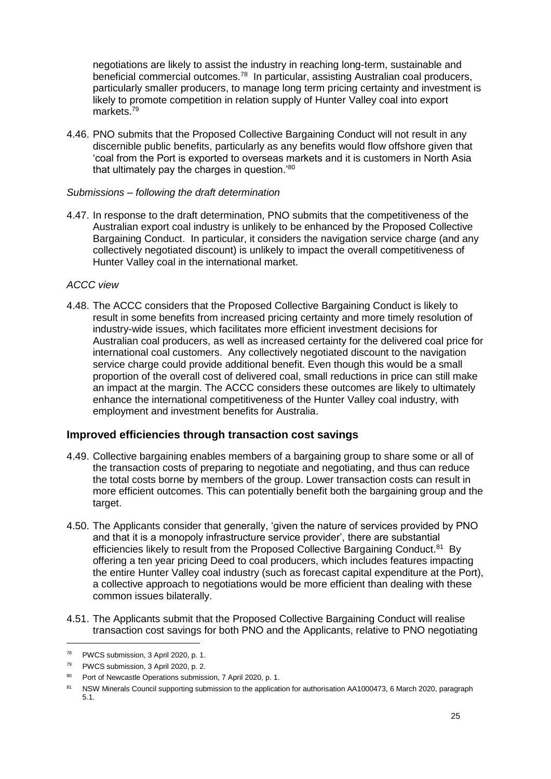negotiations are likely to assist the industry in reaching long-term, sustainable and beneficial commercial outcomes.<sup>78</sup> In particular, assisting Australian coal producers, particularly smaller producers, to manage long term pricing certainty and investment is likely to promote competition in relation supply of Hunter Valley coal into export markets.<sup>79</sup>

4.46. PNO submits that the Proposed Collective Bargaining Conduct will not result in any discernible public benefits, particularly as any benefits would flow offshore given that 'coal from the Port is exported to overseas markets and it is customers in North Asia that ultimately pay the charges in question.'<sup>80</sup>

#### *Submissions – following the draft determination*

4.47. In response to the draft determination, PNO submits that the competitiveness of the Australian export coal industry is unlikely to be enhanced by the Proposed Collective Bargaining Conduct. In particular, it considers the navigation service charge (and any collectively negotiated discount) is unlikely to impact the overall competitiveness of Hunter Valley coal in the international market.

#### *ACCC view*

4.48. The ACCC considers that the Proposed Collective Bargaining Conduct is likely to result in some benefits from increased pricing certainty and more timely resolution of industry-wide issues, which facilitates more efficient investment decisions for Australian coal producers, as well as increased certainty for the delivered coal price for international coal customers. Any collectively negotiated discount to the navigation service charge could provide additional benefit. Even though this would be a small proportion of the overall cost of delivered coal, small reductions in price can still make an impact at the margin. The ACCC considers these outcomes are likely to ultimately enhance the international competitiveness of the Hunter Valley coal industry, with employment and investment benefits for Australia.

#### **Improved efficiencies through transaction cost savings**

- 4.49. Collective bargaining enables members of a bargaining group to share some or all of the transaction costs of preparing to negotiate and negotiating, and thus can reduce the total costs borne by members of the group. Lower transaction costs can result in more efficient outcomes. This can potentially benefit both the bargaining group and the target.
- 4.50. The Applicants consider that generally, 'given the nature of services provided by PNO and that it is a monopoly infrastructure service provider', there are substantial efficiencies likely to result from the Proposed Collective Bargaining Conduct.<sup>81</sup> By offering a ten year pricing Deed to coal producers, which includes features impacting the entire Hunter Valley coal industry (such as forecast capital expenditure at the Port), a collective approach to negotiations would be more efficient than dealing with these common issues bilaterally.
- 4.51. The Applicants submit that the Proposed Collective Bargaining Conduct will realise transaction cost savings for both PNO and the Applicants, relative to PNO negotiating

<sup>78</sup> PWCS submission, 3 April 2020, p. 1.

<sup>79</sup> PWCS submission, 3 April 2020, p. 2.

<sup>80</sup> Port of Newcastle Operations submission, 7 April 2020, p. 1.

<sup>81</sup> NSW Minerals Council supporting submission to the application for authorisation AA1000473, 6 March 2020, paragraph 5.1.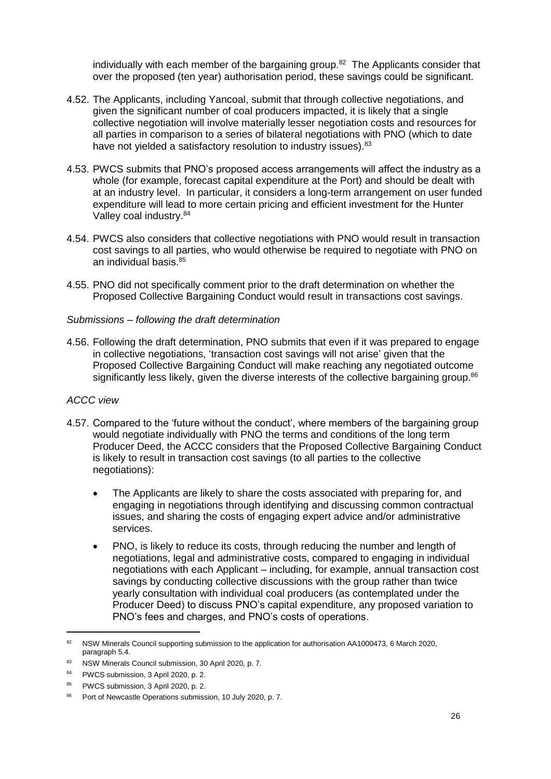individually with each member of the bargaining group.<sup>82</sup> The Applicants consider that over the proposed (ten year) authorisation period, these savings could be significant.

- 4.52. The Applicants, including Yancoal, submit that through collective negotiations, and given the significant number of coal producers impacted, it is likely that a single collective negotiation will involve materially lesser negotiation costs and resources for all parties in comparison to a series of bilateral negotiations with PNO (which to date have not yielded a satisfactory resolution to industry issues).<sup>83</sup>
- 4.53. PWCS submits that PNO's proposed access arrangements will affect the industry as a whole (for example, forecast capital expenditure at the Port) and should be dealt with at an industry level. In particular, it considers a long-term arrangement on user funded expenditure will lead to more certain pricing and efficient investment for the Hunter Valley coal industry.<sup>84</sup>
- 4.54. PWCS also considers that collective negotiations with PNO would result in transaction cost savings to all parties, who would otherwise be required to negotiate with PNO on an individual basis.<sup>85</sup>
- 4.55. PNO did not specifically comment prior to the draft determination on whether the Proposed Collective Bargaining Conduct would result in transactions cost savings.

#### *Submissions – following the draft determination*

4.56. Following the draft determination, PNO submits that even if it was prepared to engage in collective negotiations, 'transaction cost savings will not arise' given that the Proposed Collective Bargaining Conduct will make reaching any negotiated outcome significantly less likely, given the diverse interests of the collective bargaining group.<sup>86</sup>

#### *ACCC view*

- 4.57. Compared to the 'future without the conduct', where members of the bargaining group would negotiate individually with PNO the terms and conditions of the long term Producer Deed, the ACCC considers that the Proposed Collective Bargaining Conduct is likely to result in transaction cost savings (to all parties to the collective negotiations):
	- The Applicants are likely to share the costs associated with preparing for, and engaging in negotiations through identifying and discussing common contractual issues, and sharing the costs of engaging expert advice and/or administrative services.
	- PNO, is likely to reduce its costs, through reducing the number and length of negotiations, legal and administrative costs, compared to engaging in individual negotiations with each Applicant – including, for example, annual transaction cost savings by conducting collective discussions with the group rather than twice yearly consultation with individual coal producers (as contemplated under the Producer Deed) to discuss PNO's capital expenditure, any proposed variation to PNO's fees and charges, and PNO's costs of operations.

<sup>82</sup> NSW Minerals Council supporting submission to the application for authorisation AA1000473, 6 March 2020, paragraph 5.4.

<sup>83</sup> NSW Minerals Council submission, 30 April 2020, p. 7.

<sup>84</sup> PWCS submission, 3 April 2020, p. 2.

<sup>85</sup> PWCS submission, 3 April 2020, p. 2.

<sup>86</sup> Port of Newcastle Operations submission, 10 July 2020, p. 7.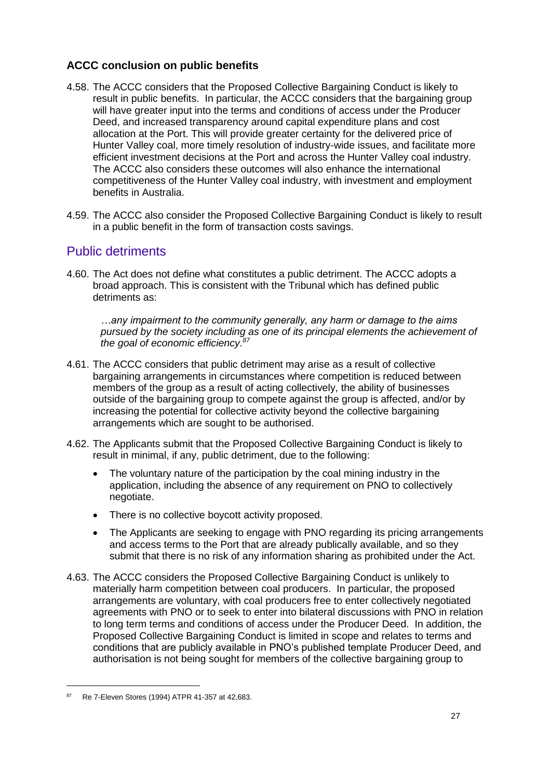## **ACCC conclusion on public benefits**

- 4.58. The ACCC considers that the Proposed Collective Bargaining Conduct is likely to result in public benefits. In particular, the ACCC considers that the bargaining group will have greater input into the terms and conditions of access under the Producer Deed, and increased transparency around capital expenditure plans and cost allocation at the Port. This will provide greater certainty for the delivered price of Hunter Valley coal, more timely resolution of industry-wide issues, and facilitate more efficient investment decisions at the Port and across the Hunter Valley coal industry. The ACCC also considers these outcomes will also enhance the international competitiveness of the Hunter Valley coal industry, with investment and employment benefits in Australia.
- 4.59. The ACCC also consider the Proposed Collective Bargaining Conduct is likely to result in a public benefit in the form of transaction costs savings.

## Public detriments

4.60. The Act does not define what constitutes a public detriment. The ACCC adopts a broad approach. This is consistent with the Tribunal which has defined public detriments as:

*…any impairment to the community generally, any harm or damage to the aims pursued by the society including as one of its principal elements the achievement of the goal of economic efficiency.<sup>87</sup>*

- 4.61. The ACCC considers that public detriment may arise as a result of collective bargaining arrangements in circumstances where competition is reduced between members of the group as a result of acting collectively, the ability of businesses outside of the bargaining group to compete against the group is affected, and/or by increasing the potential for collective activity beyond the collective bargaining arrangements which are sought to be authorised.
- 4.62. The Applicants submit that the Proposed Collective Bargaining Conduct is likely to result in minimal, if any, public detriment, due to the following:
	- The voluntary nature of the participation by the coal mining industry in the application, including the absence of any requirement on PNO to collectively negotiate.
	- There is no collective boycott activity proposed.
	- The Applicants are seeking to engage with PNO regarding its pricing arrangements and access terms to the Port that are already publically available, and so they submit that there is no risk of any information sharing as prohibited under the Act.
- 4.63. The ACCC considers the Proposed Collective Bargaining Conduct is unlikely to materially harm competition between coal producers. In particular, the proposed arrangements are voluntary, with coal producers free to enter collectively negotiated agreements with PNO or to seek to enter into bilateral discussions with PNO in relation to long term terms and conditions of access under the Producer Deed. In addition, the Proposed Collective Bargaining Conduct is limited in scope and relates to terms and conditions that are publicly available in PNO's published template Producer Deed, and authorisation is not being sought for members of the collective bargaining group to

<sup>87</sup> Re 7-Eleven Stores (1994) ATPR 41-357 at 42,683.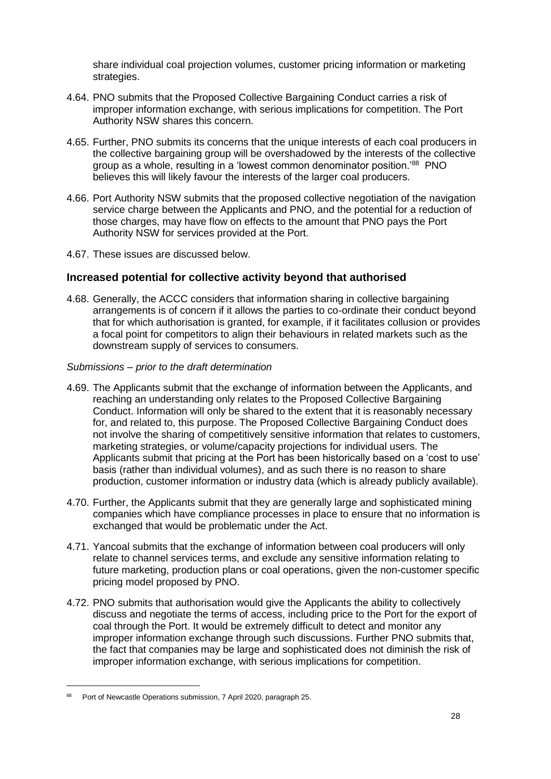share individual coal projection volumes, customer pricing information or marketing strategies.

- 4.64. PNO submits that the Proposed Collective Bargaining Conduct carries a risk of improper information exchange, with serious implications for competition. The Port Authority NSW shares this concern.
- 4.65. Further, PNO submits its concerns that the unique interests of each coal producers in the collective bargaining group will be overshadowed by the interests of the collective group as a whole, resulting in a 'lowest common denominator position.'<sup>88</sup> PNO believes this will likely favour the interests of the larger coal producers.
- 4.66. Port Authority NSW submits that the proposed collective negotiation of the navigation service charge between the Applicants and PNO, and the potential for a reduction of those charges, may have flow on effects to the amount that PNO pays the Port Authority NSW for services provided at the Port.
- 4.67. These issues are discussed below.

#### **Increased potential for collective activity beyond that authorised**

- 4.68. Generally, the ACCC considers that information sharing in collective bargaining arrangements is of concern if it allows the parties to co-ordinate their conduct beyond that for which authorisation is granted, for example, if it facilitates collusion or provides a focal point for competitors to align their behaviours in related markets such as the downstream supply of services to consumers.
- *Submissions – prior to the draft determination*
- 4.69. The Applicants submit that the exchange of information between the Applicants, and reaching an understanding only relates to the Proposed Collective Bargaining Conduct. Information will only be shared to the extent that it is reasonably necessary for, and related to, this purpose. The Proposed Collective Bargaining Conduct does not involve the sharing of competitively sensitive information that relates to customers, marketing strategies, or volume/capacity projections for individual users. The Applicants submit that pricing at the Port has been historically based on a 'cost to use' basis (rather than individual volumes), and as such there is no reason to share production, customer information or industry data (which is already publicly available).
- 4.70. Further, the Applicants submit that they are generally large and sophisticated mining companies which have compliance processes in place to ensure that no information is exchanged that would be problematic under the Act.
- 4.71. Yancoal submits that the exchange of information between coal producers will only relate to channel services terms, and exclude any sensitive information relating to future marketing, production plans or coal operations, given the non-customer specific pricing model proposed by PNO.
- 4.72. PNO submits that authorisation would give the Applicants the ability to collectively discuss and negotiate the terms of access, including price to the Port for the export of coal through the Port. It would be extremely difficult to detect and monitor any improper information exchange through such discussions. Further PNO submits that, the fact that companies may be large and sophisticated does not diminish the risk of improper information exchange, with serious implications for competition.

<sup>88</sup> Port of Newcastle Operations submission, 7 April 2020, paragraph 25.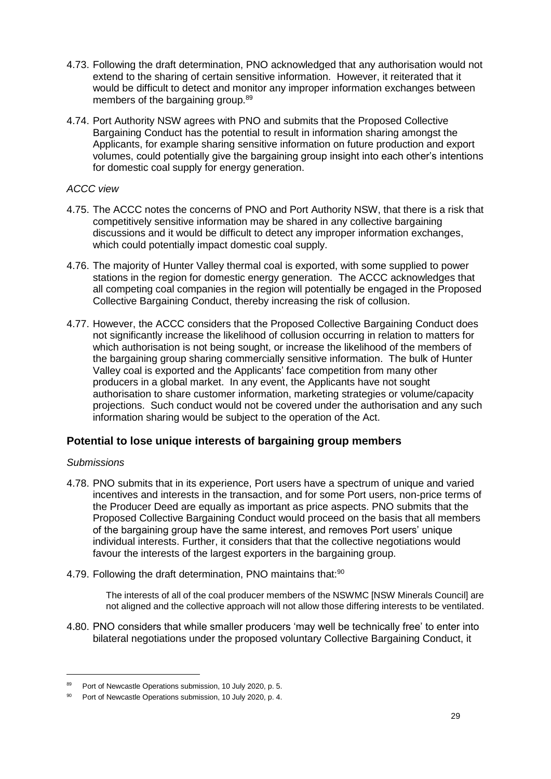- 4.73. Following the draft determination, PNO acknowledged that any authorisation would not extend to the sharing of certain sensitive information. However, it reiterated that it would be difficult to detect and monitor any improper information exchanges between members of the bargaining group.<sup>89</sup>
- 4.74. Port Authority NSW agrees with PNO and submits that the Proposed Collective Bargaining Conduct has the potential to result in information sharing amongst the Applicants, for example sharing sensitive information on future production and export volumes, could potentially give the bargaining group insight into each other's intentions for domestic coal supply for energy generation.

#### *ACCC view*

- 4.75. The ACCC notes the concerns of PNO and Port Authority NSW, that there is a risk that competitively sensitive information may be shared in any collective bargaining discussions and it would be difficult to detect any improper information exchanges, which could potentially impact domestic coal supply.
- 4.76. The majority of Hunter Valley thermal coal is exported, with some supplied to power stations in the region for domestic energy generation. The ACCC acknowledges that all competing coal companies in the region will potentially be engaged in the Proposed Collective Bargaining Conduct, thereby increasing the risk of collusion.
- 4.77. However, the ACCC considers that the Proposed Collective Bargaining Conduct does not significantly increase the likelihood of collusion occurring in relation to matters for which authorisation is not being sought, or increase the likelihood of the members of the bargaining group sharing commercially sensitive information. The bulk of Hunter Valley coal is exported and the Applicants' face competition from many other producers in a global market. In any event, the Applicants have not sought authorisation to share customer information, marketing strategies or volume/capacity projections. Such conduct would not be covered under the authorisation and any such information sharing would be subject to the operation of the Act.

#### **Potential to lose unique interests of bargaining group members**

#### *Submissions*

-

- 4.78. PNO submits that in its experience, Port users have a spectrum of unique and varied incentives and interests in the transaction, and for some Port users, non-price terms of the Producer Deed are equally as important as price aspects. PNO submits that the Proposed Collective Bargaining Conduct would proceed on the basis that all members of the bargaining group have the same interest, and removes Port users' unique individual interests. Further, it considers that that the collective negotiations would favour the interests of the largest exporters in the bargaining group.
- 4.79. Following the draft determination, PNO maintains that:<sup>90</sup>

The interests of all of the coal producer members of the NSWMC [NSW Minerals Council] are not aligned and the collective approach will not allow those differing interests to be ventilated.

4.80. PNO considers that while smaller producers 'may well be technically free' to enter into bilateral negotiations under the proposed voluntary Collective Bargaining Conduct, it

<sup>89</sup> Port of Newcastle Operations submission, 10 July 2020, p. 5.

<sup>90</sup> Port of Newcastle Operations submission, 10 July 2020, p. 4.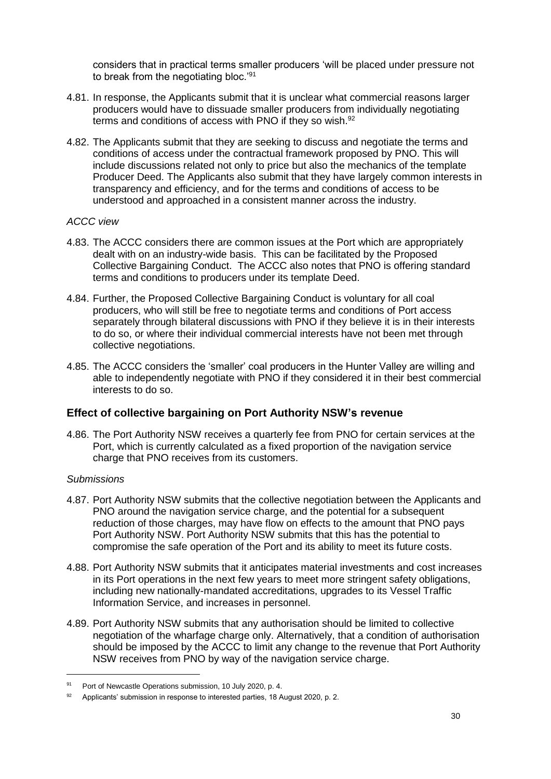considers that in practical terms smaller producers 'will be placed under pressure not to break from the negotiating bloc.'<sup>91</sup>

- 4.81. In response, the Applicants submit that it is unclear what commercial reasons larger producers would have to dissuade smaller producers from individually negotiating terms and conditions of access with PNO if they so wish.<sup>92</sup>
- 4.82. The Applicants submit that they are seeking to discuss and negotiate the terms and conditions of access under the contractual framework proposed by PNO. This will include discussions related not only to price but also the mechanics of the template Producer Deed. The Applicants also submit that they have largely common interests in transparency and efficiency, and for the terms and conditions of access to be understood and approached in a consistent manner across the industry.

#### *ACCC view*

- 4.83. The ACCC considers there are common issues at the Port which are appropriately dealt with on an industry-wide basis. This can be facilitated by the Proposed Collective Bargaining Conduct. The ACCC also notes that PNO is offering standard terms and conditions to producers under its template Deed.
- 4.84. Further, the Proposed Collective Bargaining Conduct is voluntary for all coal producers, who will still be free to negotiate terms and conditions of Port access separately through bilateral discussions with PNO if they believe it is in their interests to do so, or where their individual commercial interests have not been met through collective negotiations.
- 4.85. The ACCC considers the 'smaller' coal producers in the Hunter Valley are willing and able to independently negotiate with PNO if they considered it in their best commercial interests to do so.

#### **Effect of collective bargaining on Port Authority NSW's revenue**

4.86. The Port Authority NSW receives a quarterly fee from PNO for certain services at the Port, which is currently calculated as a fixed proportion of the navigation service charge that PNO receives from its customers.

#### *Submissions*

- 4.87. Port Authority NSW submits that the collective negotiation between the Applicants and PNO around the navigation service charge, and the potential for a subsequent reduction of those charges, may have flow on effects to the amount that PNO pays Port Authority NSW. Port Authority NSW submits that this has the potential to compromise the safe operation of the Port and its ability to meet its future costs.
- 4.88. Port Authority NSW submits that it anticipates material investments and cost increases in its Port operations in the next few years to meet more stringent safety obligations, including new nationally-mandated accreditations, upgrades to its Vessel Traffic Information Service, and increases in personnel.
- 4.89. Port Authority NSW submits that any authorisation should be limited to collective negotiation of the wharfage charge only. Alternatively, that a condition of authorisation should be imposed by the ACCC to limit any change to the revenue that Port Authority NSW receives from PNO by way of the navigation service charge.

<sup>91</sup> Port of Newcastle Operations submission, 10 July 2020, p. 4.

<sup>92</sup> Applicants' submission in response to interested parties, 18 August 2020, p. 2.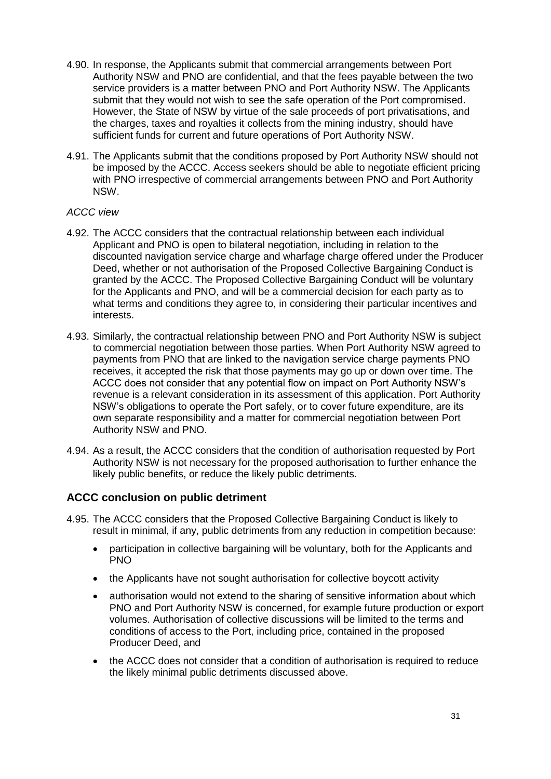- 4.90. In response, the Applicants submit that commercial arrangements between Port Authority NSW and PNO are confidential, and that the fees payable between the two service providers is a matter between PNO and Port Authority NSW. The Applicants submit that they would not wish to see the safe operation of the Port compromised. However, the State of NSW by virtue of the sale proceeds of port privatisations, and the charges, taxes and royalties it collects from the mining industry, should have sufficient funds for current and future operations of Port Authority NSW.
- 4.91. The Applicants submit that the conditions proposed by Port Authority NSW should not be imposed by the ACCC. Access seekers should be able to negotiate efficient pricing with PNO irrespective of commercial arrangements between PNO and Port Authority NSW.

#### *ACCC view*

- 4.92. The ACCC considers that the contractual relationship between each individual Applicant and PNO is open to bilateral negotiation, including in relation to the discounted navigation service charge and wharfage charge offered under the Producer Deed, whether or not authorisation of the Proposed Collective Bargaining Conduct is granted by the ACCC. The Proposed Collective Bargaining Conduct will be voluntary for the Applicants and PNO, and will be a commercial decision for each party as to what terms and conditions they agree to, in considering their particular incentives and interests.
- 4.93. Similarly, the contractual relationship between PNO and Port Authority NSW is subject to commercial negotiation between those parties. When Port Authority NSW agreed to payments from PNO that are linked to the navigation service charge payments PNO receives, it accepted the risk that those payments may go up or down over time. The ACCC does not consider that any potential flow on impact on Port Authority NSW's revenue is a relevant consideration in its assessment of this application. Port Authority NSW's obligations to operate the Port safely, or to cover future expenditure, are its own separate responsibility and a matter for commercial negotiation between Port Authority NSW and PNO.
- 4.94. As a result, the ACCC considers that the condition of authorisation requested by Port Authority NSW is not necessary for the proposed authorisation to further enhance the likely public benefits, or reduce the likely public detriments.

#### **ACCC conclusion on public detriment**

- 4.95. The ACCC considers that the Proposed Collective Bargaining Conduct is likely to result in minimal, if any, public detriments from any reduction in competition because:
	- participation in collective bargaining will be voluntary, both for the Applicants and PNO
	- the Applicants have not sought authorisation for collective boycott activity
	- authorisation would not extend to the sharing of sensitive information about which PNO and Port Authority NSW is concerned, for example future production or export volumes. Authorisation of collective discussions will be limited to the terms and conditions of access to the Port, including price, contained in the proposed Producer Deed, and
	- the ACCC does not consider that a condition of authorisation is required to reduce the likely minimal public detriments discussed above.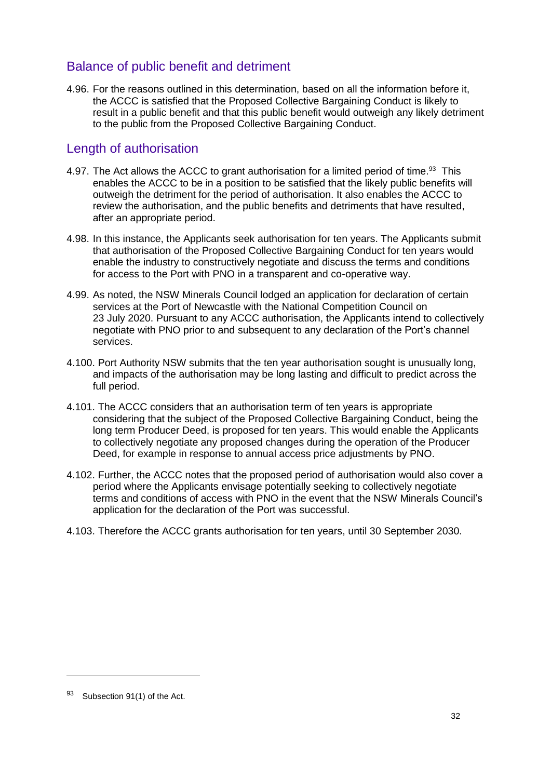## Balance of public benefit and detriment

4.96. For the reasons outlined in this determination, based on all the information before it, the ACCC is satisfied that the Proposed Collective Bargaining Conduct is likely to result in a public benefit and that this public benefit would outweigh any likely detriment to the public from the Proposed Collective Bargaining Conduct.

## Length of authorisation

- 4.97. The Act allows the ACCC to grant authorisation for a limited period of time.<sup>93</sup> This enables the ACCC to be in a position to be satisfied that the likely public benefits will outweigh the detriment for the period of authorisation. It also enables the ACCC to review the authorisation, and the public benefits and detriments that have resulted, after an appropriate period.
- 4.98. In this instance, the Applicants seek authorisation for ten years. The Applicants submit that authorisation of the Proposed Collective Bargaining Conduct for ten years would enable the industry to constructively negotiate and discuss the terms and conditions for access to the Port with PNO in a transparent and co-operative way.
- 4.99. As noted, the NSW Minerals Council lodged an application for declaration of certain services at the Port of Newcastle with the National Competition Council on 23 July 2020. Pursuant to any ACCC authorisation, the Applicants intend to collectively negotiate with PNO prior to and subsequent to any declaration of the Port's channel services.
- 4.100. Port Authority NSW submits that the ten year authorisation sought is unusually long, and impacts of the authorisation may be long lasting and difficult to predict across the full period.
- 4.101. The ACCC considers that an authorisation term of ten years is appropriate considering that the subject of the Proposed Collective Bargaining Conduct, being the long term Producer Deed, is proposed for ten years. This would enable the Applicants to collectively negotiate any proposed changes during the operation of the Producer Deed, for example in response to annual access price adjustments by PNO.
- 4.102. Further, the ACCC notes that the proposed period of authorisation would also cover a period where the Applicants envisage potentially seeking to collectively negotiate terms and conditions of access with PNO in the event that the NSW Minerals Council's application for the declaration of the Port was successful.
- 4.103. Therefore the ACCC grants authorisation for ten years, until 30 September 2030.

<sup>93</sup> Subsection 91(1) of the Act.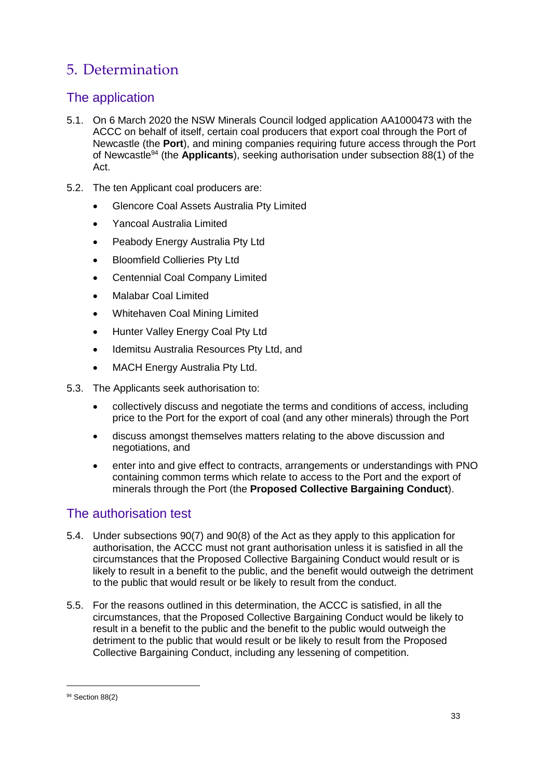# 5. Determination

## The application

- 5.1. On 6 March 2020 the NSW Minerals Council lodged application AA1000473 with the ACCC on behalf of itself, certain coal producers that export coal through the Port of Newcastle (the **Port**), and mining companies requiring future access through the Port of Newcastle<sup>94</sup> (the **Applicants**), seeking authorisation under subsection 88(1) of the Act.
- 5.2. The ten Applicant coal producers are:
	- Glencore Coal Assets Australia Pty Limited
	- Yancoal Australia Limited
	- Peabody Energy Australia Pty Ltd
	- Bloomfield Collieries Pty Ltd
	- Centennial Coal Company Limited
	- Malabar Coal Limited
	- Whitehaven Coal Mining Limited
	- Hunter Valley Energy Coal Pty Ltd
	- Idemitsu Australia Resources Pty Ltd, and
	- MACH Energy Australia Pty Ltd.
- <span id="page-32-0"></span>5.3. The Applicants seek authorisation to:
	- collectively discuss and negotiate the terms and conditions of access, including price to the Port for the export of coal (and any other minerals) through the Port
	- discuss amongst themselves matters relating to the above discussion and negotiations, and
	- enter into and give effect to contracts, arrangements or understandings with PNO containing common terms which relate to access to the Port and the export of minerals through the Port (the **Proposed Collective Bargaining Conduct**).

## The authorisation test

- 5.4. Under subsections 90(7) and 90(8) of the Act as they apply to this application for authorisation, the ACCC must not grant authorisation unless it is satisfied in all the circumstances that the Proposed Collective Bargaining Conduct would result or is likely to result in a benefit to the public, and the benefit would outweigh the detriment to the public that would result or be likely to result from the conduct.
- 5.5. For the reasons outlined in this determination, the ACCC is satisfied, in all the circumstances, that the Proposed Collective Bargaining Conduct would be likely to result in a benefit to the public and the benefit to the public would outweigh the detriment to the public that would result or be likely to result from the Proposed Collective Bargaining Conduct, including any lessening of competition.

<sup>&</sup>lt;sup>94</sup> Section 88(2)